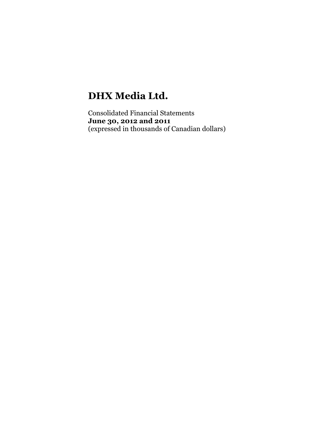# **DHX Media Ltd.**

Consolidated Financial Statements **June 30, 2012 and 2011** (expressed in thousands of Canadian dollars)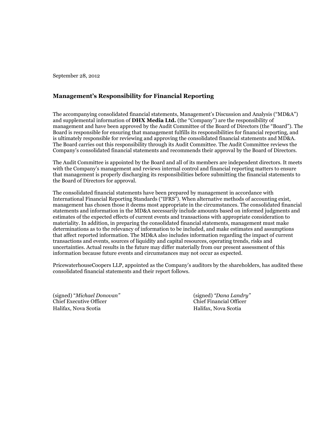September 28, 2012

## **Management's Responsibility for Financial Reporting**

The accompanying consolidated financial statements, Management's Discussion and Analysis ("MD&A") and supplemental information of **DHX Media Ltd.** (the "Company") are the responsibility of management and have been approved by the Audit Committee of the Board of Directors (the "Board"). The Board is responsible for ensuring that management fulfills its responsibilities for financial reporting, and is ultimately responsible for reviewing and approving the consolidated financial statements and MD&A. The Board carries out this responsibility through its Audit Committee. The Audit Committee reviews the Company's consolidated financial statements and recommends their approval by the Board of Directors.

The Audit Committee is appointed by the Board and all of its members are independent directors. It meets with the Company's management and reviews internal control and financial reporting matters to ensure that management is properly discharging its responsibilities before submitting the financial statements to the Board of Directors for approval.

The consolidated financial statements have been prepared by management in accordance with International Financial Reporting Standards ("IFRS"). When alternative methods of accounting exist, management has chosen those it deems most appropriate in the circumstances. The consolidated financial statements and information in the MD&A necessarily include amounts based on informed judgments and estimates of the expected effects of current events and transactions with appropriate consideration to materiality. In addition, in preparing the consolidated financial statements, management must make determinations as to the relevancy of information to be included, and make estimates and assumptions that affect reported information. The MD&A also includes information regarding the impact of current transactions and events, sources of liquidity and capital resources, operating trends, risks and uncertainties. Actual results in the future may differ materially from our present assessment of this information because future events and circumstances may not occur as expected.

PricewaterhouseCoopers LLP, appointed as the Company's auditors by the shareholders, has audited these consolidated financial statements and their report follows.

(signed) "*Michael Donovan"* (signed) *"Dana Landry"* Chief Executive Officer Chief Financial Officer Halifax, Nova Scotia Halifax, Nova Scotia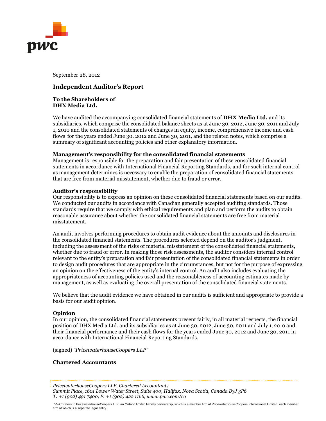

September 28, 2012

## **Independent Auditor's Report**

#### **To the Shareholders of DHX Media Ltd.**

We have audited the accompanying consolidated financial statements of **DHX Media Ltd.** and its subsidiaries, which comprise the consolidated balance sheets as at June 30, 2012, June 30, 2011 and July 1, 2010 and the consolidated statements of changes in equity, income, comprehensive income and cash flows for the years ended June 30, 2012 and June 30, 2011, and the related notes, which comprise a summary of significant accounting policies and other explanatory information.

#### **Management's responsibility for the consolidated financial statements**

Management is responsible for the preparation and fair presentation of these consolidated financial statements in accordance with International Financial Reporting Standards, and for such internal control as management determines is necessary to enable the preparation of consolidated financial statements that are free from material misstatement, whether due to fraud or error.

#### **Auditor's responsibility**

Our responsibility is to express an opinion on these consolidated financial statements based on our audits. We conducted our audits in accordance with Canadian generally accepted auditing standards. Those standards require that we comply with ethical requirements and plan and perform the audits to obtain reasonable assurance about whether the consolidated financial statements are free from material misstatement.

An audit involves performing procedures to obtain audit evidence about the amounts and disclosures in the consolidated financial statements. The procedures selected depend on the auditor's judgment, including the assessment of the risks of material misstatement of the consolidated financial statements, whether due to fraud or error. In making those risk assessments, the auditor considers internal control relevant to the entity's preparation and fair presentation of the consolidated financial statements in order to design audit procedures that are appropriate in the circumstances, but not for the purpose of expressing an opinion on the effectiveness of the entity's internal control. An audit also includes evaluating the appropriateness of accounting policies used and the reasonableness of accounting estimates made by management, as well as evaluating the overall presentation of the consolidated financial statements.

We believe that the audit evidence we have obtained in our audits is sufficient and appropriate to provide a basis for our audit opinion.

#### **Opinion**

In our opinion, the consolidated financial statements present fairly, in all material respects, the financial position of DHX Media Ltd. and its subsidiaries as at June 30, 2012, June 30, 2011 and July 1, 2010 and their financial performance and their cash flows for the years ended June 30, 2012 and June 30, 2011 in accordance with International Financial Reporting Standards.

(signed) *"PricewaterhouseCoopers LLP"*

#### **Chartered Accountants**

*PricewaterhouseCoopers LLP, Chartered Accountants Summit Place, 1601 Lower Water Street, Suite 400, Halifax, Nova Scotia, Canada B3J 3P6 T: +1 (902) 491 7400, F: +1 (902) 422 1166, www.pwc.com/ca*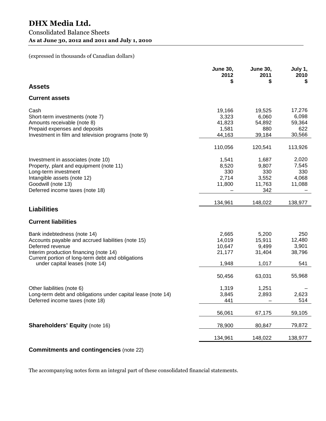## (expressed in thousands of Canadian dollars)

|                                                                                                                                                                                                                                        | <b>June 30,</b><br>2012<br>S                           | <b>June 30,</b><br>2011<br>\$                         | July 1,<br>2010<br>S                              |
|----------------------------------------------------------------------------------------------------------------------------------------------------------------------------------------------------------------------------------------|--------------------------------------------------------|-------------------------------------------------------|---------------------------------------------------|
| <b>Assets</b>                                                                                                                                                                                                                          |                                                        |                                                       |                                                   |
| <b>Current assets</b>                                                                                                                                                                                                                  |                                                        |                                                       |                                                   |
| Cash<br>Short-term investments (note 7)<br>Amounts receivable (note 8)<br>Prepaid expenses and deposits<br>Investment in film and television programs (note 9)                                                                         | 19,166<br>3,323<br>41,823<br>1,581<br>44,163           | 19,525<br>6,060<br>54,892<br>880<br>39,184            | 17,276<br>6,098<br>59,364<br>622<br>30,566        |
|                                                                                                                                                                                                                                        | 110,056                                                | 120,541                                               | 113,926                                           |
| Investment in associates (note 10)<br>Property, plant and equipment (note 11)<br>Long-term investment<br>Intangible assets (note 12)<br>Goodwill (note 13)<br>Deferred income taxes (note 18)                                          | 1,541<br>8,520<br>330<br>2,714<br>11,800               | 1,687<br>9,807<br>330<br>3,552<br>11,763<br>342       | 2,020<br>7,545<br>330<br>4,068<br>11,088          |
|                                                                                                                                                                                                                                        | 134,961                                                | 148,022                                               | 138,977                                           |
| <b>Liabilities</b>                                                                                                                                                                                                                     |                                                        |                                                       |                                                   |
| <b>Current liabilities</b>                                                                                                                                                                                                             |                                                        |                                                       |                                                   |
| Bank indebtedness (note 14)<br>Accounts payable and accrued liabilities (note 15)<br>Deferred revenue<br>Interim production financing (note 14)<br>Current portion of long-term debt and obligations<br>under capital leases (note 14) | 2,665<br>14,019<br>10,647<br>21,177<br>1,948<br>50,456 | 5,200<br>15,911<br>9,499<br>31,404<br>1,017<br>63,031 | 250<br>12,480<br>3,901<br>38,796<br>541<br>55,968 |
| Other liabilities (note 6)<br>Long-term debt and obligations under capital lease (note 14)<br>Deferred income taxes (note 18)                                                                                                          | 1,319<br>3,845<br>441                                  | 1,251<br>2,893                                        | 2,623<br>514                                      |
|                                                                                                                                                                                                                                        | 56,061                                                 | 67,175                                                | 59,105                                            |
| <b>Shareholders' Equity (note 16)</b>                                                                                                                                                                                                  | 78,900                                                 | 80,847                                                | 79,872                                            |
|                                                                                                                                                                                                                                        | 134,961                                                | 148,022                                               | 138,977                                           |

## **Commitments and contingencies** (note 22)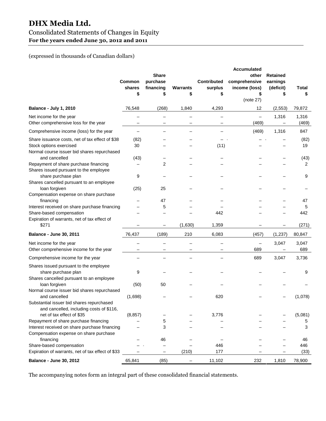# **DHX Media Ltd.** Consolidated Statements of Changes in Equity **For the years ended June 30, 2012 and 2011**

## (expressed in thousands of Canadian dollars)

|                                                                                                                                                                                  | Common<br>shares<br>\$   | <b>Share</b><br>purchase<br>financing<br>\$ | Warrants<br>\$ | <b>Contributed</b><br>surplus<br>\$ | <b>Accumulated</b><br>other<br>comprehensive<br>income (loss)<br>\$<br>(note 27) | <b>Retained</b><br>earnings<br>(deficit) | Total<br>\$            |
|----------------------------------------------------------------------------------------------------------------------------------------------------------------------------------|--------------------------|---------------------------------------------|----------------|-------------------------------------|----------------------------------------------------------------------------------|------------------------------------------|------------------------|
| <b>Balance - July 1, 2010</b>                                                                                                                                                    | 76,548                   | (268)                                       | 1,840          | 4,293                               | 12                                                                               | (2, 553)                                 | 79,872                 |
| Net income for the year<br>Other comprehensive loss for the year                                                                                                                 | -                        | —                                           | —              | $\qquad \qquad -$                   | $\qquad \qquad -$<br>(469)                                                       | 1,316<br>$\overline{\phantom{m}}$        | 1,316<br>(469)         |
| Comprehensive income (loss) for the year                                                                                                                                         | $\overline{\phantom{0}}$ |                                             |                |                                     | (469)                                                                            | 1,316                                    | 847                    |
| Share issuance costs, net of tax effect of \$38<br>Stock options exercised<br>Normal course issuer bid shares repurchased                                                        | (82)<br>30               |                                             |                | (11)                                |                                                                                  |                                          | (82)<br>19             |
| and cancelled<br>Repayment of share purchase financing<br>Shares issued pursuant to the employee                                                                                 | (43)                     | 2                                           |                |                                     |                                                                                  |                                          | (43)<br>$\overline{2}$ |
| share purchase plan<br>Shares cancelled pursuant to an employee<br>loan forgiven                                                                                                 | 9<br>(25)                | 25                                          |                |                                     |                                                                                  |                                          | 9                      |
| Compensation expense on share purchase<br>financing<br>Interest received on share purchase financing<br>Share-based compensation<br>Expiration of warrants, net of tax effect of |                          | 47<br>5                                     |                | 442                                 |                                                                                  |                                          | 47<br>5<br>442         |
| \$271                                                                                                                                                                            |                          | —                                           | (1,630)        | 1,359                               |                                                                                  |                                          | (271)                  |
| <b>Balance - June 30, 2011</b>                                                                                                                                                   | 76,437                   | (189)                                       | 210            | 6,083                               | (457)                                                                            | (1,237)                                  | 80,847                 |
| Net income for the year<br>Other comprehensive income for the year                                                                                                               |                          |                                             |                |                                     | $\overline{\phantom{0}}$<br>689                                                  | 3,047                                    | 3,047<br>689           |
| Comprehensive income for the year                                                                                                                                                |                          |                                             |                |                                     | 689                                                                              | 3,047                                    | 3,736                  |
| Shares issued pursuant to the employee<br>share purchase plan<br>Shares cancelled pursuant to an employee                                                                        | 9                        |                                             |                |                                     |                                                                                  |                                          | 9                      |
| loan forgiven<br>Normal course issuer bid shares repurchased                                                                                                                     | (50)                     | 50                                          |                |                                     |                                                                                  |                                          |                        |
| and cancelled<br>Substantial issuer bid shares repurchased<br>and cancelled, including costs of \$116,<br>net of tax effect of \$35                                              | (1,698)<br>(8, 857)      |                                             |                | 620<br>3,776                        |                                                                                  |                                          | (1,078)<br>(5,081)     |
| Repayment of share purchase financing                                                                                                                                            |                          | 5                                           |                |                                     |                                                                                  |                                          | 5                      |
| Interest received on share purchase financing<br>Compensation expense on share purchase                                                                                          |                          | 3                                           |                |                                     |                                                                                  |                                          | 3                      |
| financing                                                                                                                                                                        |                          | 46                                          |                |                                     |                                                                                  |                                          | 46                     |
| Share-based compensation<br>Expiration of warrants, net of tax effect of \$33                                                                                                    |                          |                                             | (210)          | 446<br>177                          |                                                                                  |                                          | 446<br>(33)            |
| <b>Balance - June 30, 2012</b>                                                                                                                                                   | 65,841                   | (85)                                        |                | 11,102                              | 232                                                                              | 1,810                                    | 78,900                 |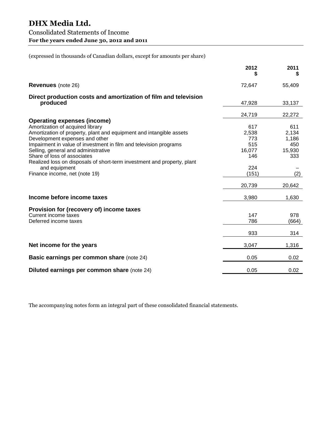|                                                                         | 2012   | 2011   |
|-------------------------------------------------------------------------|--------|--------|
| <b>Revenues</b> (note 26)                                               | 72,647 | 55,409 |
| Direct production costs and amortization of film and television         |        |        |
| produced                                                                | 47,928 | 33,137 |
|                                                                         | 24,719 | 22,272 |
| <b>Operating expenses (income)</b>                                      |        |        |
| Amortization of acquired library                                        | 617    | 611    |
| Amortization of property, plant and equipment and intangible assets     | 2,538  | 2,134  |
| Development expenses and other                                          | 773    | 1,186  |
| Impairment in value of investment in film and television programs       | 515    | 450    |
| Selling, general and administrative                                     | 16,077 | 15,930 |
| Share of loss of associates                                             | 146    | 333    |
| Realized loss on disposals of short-term investment and property, plant |        |        |
| and equipment                                                           | 224    |        |
| Finance income, net (note 19)                                           | (151)  | (2)    |
|                                                                         | 20,739 | 20,642 |
| Income before income taxes                                              | 3,980  | 1,630  |
| Provision for (recovery of) income taxes                                |        |        |
| Current income taxes                                                    | 147    | 978    |
| Deferred income taxes                                                   | 786    | (664)  |
|                                                                         | 933    | 314    |
| Net income for the years                                                | 3,047  | 1,316  |
| <b>Basic earnings per common share (note 24)</b>                        | 0.05   | 0.02   |
| Diluted earnings per common share (note 24)                             | 0.05   | 0.02   |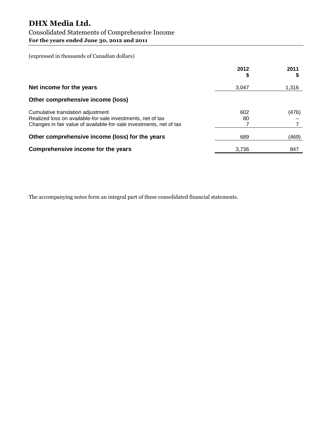# **DHX Media Ltd.**

## Consolidated Statements of Comprehensive Income **For the years ended June 30, 2012 and 2011**

(expressed in thousands of Canadian dollars)

|                                                                                                                                                                         | 2012<br>\$ | 2011  |
|-------------------------------------------------------------------------------------------------------------------------------------------------------------------------|------------|-------|
| Net income for the years                                                                                                                                                | 3,047      | 1,316 |
| Other comprehensive income (loss)                                                                                                                                       |            |       |
| Cumulative translation adjustment<br>Realized loss on available-for-sale investments, net of tax<br>Changes in fair value of available-for-sale investments, net of tax | 602<br>80  | (476) |
| Other comprehensive income (loss) for the years                                                                                                                         | 689        | (469) |
| Comprehensive income for the years                                                                                                                                      | 3,736      | 847   |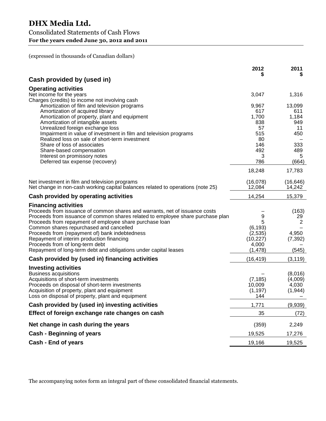(expressed in thousands of Canadian dollars)

|                                                                                                                                   | 2012                | 2011              |
|-----------------------------------------------------------------------------------------------------------------------------------|---------------------|-------------------|
| Cash provided by (used in)                                                                                                        |                     |                   |
| <b>Operating activities</b>                                                                                                       |                     |                   |
| Net income for the years                                                                                                          | 3,047               | 1,316             |
| Charges (credits) to income not involving cash                                                                                    |                     |                   |
| Amortization of film and television programs                                                                                      | 9,967               | 13,099            |
| Amortization of acquired library                                                                                                  | 617                 | 611               |
| Amortization of property, plant and equipment                                                                                     | 1,700               | 1,184             |
| Amortization of intangible assets<br>Unrealized foreign exchange loss                                                             | 838<br>57           | 949<br>11         |
| Impairment in value of investment in film and television programs                                                                 | 515                 | 450               |
| Realized loss on sale of short-term investment                                                                                    | 80                  |                   |
| Share of loss of associates                                                                                                       | 146                 | 333               |
| Share-based compensation                                                                                                          | 492                 | 489               |
| Interest on promissory notes                                                                                                      | 3                   | 5                 |
| Deferred tax expense (recovery)                                                                                                   | 786                 | (664)             |
|                                                                                                                                   | 18,248              | 17,783            |
|                                                                                                                                   | (16,078)            | (16, 646)         |
| Net investment in film and television programs<br>Net change in non-cash working capital balances related to operations (note 25) | 12,084              | 14,242            |
|                                                                                                                                   |                     |                   |
| Cash provided by operating activities                                                                                             | 14,254              | 15,379            |
| <b>Financing activities</b>                                                                                                       |                     |                   |
| Proceeds from issuance of common shares and warrants, net of issuance costs                                                       |                     | (163)             |
| Proceeds from issuance of common shares related to employee share purchase plan                                                   | 9                   | 29                |
| Proceeds from repayment of employee share purchase loan                                                                           | 5                   | 2                 |
| Common shares repurchased and cancelled                                                                                           | (6, 193)            |                   |
| Proceeds from (repayment of) bank indebtedness<br>Repayment of interim production financing                                       | (2,535)<br>(10,227) | 4,950<br>(7, 392) |
| Proceeds from of long-term debt                                                                                                   | 4,000               |                   |
| Repayment of long-term debt and obligations under capital leases                                                                  | (1, 478)            | (545)             |
| Cash provided by (used in) financing activities                                                                                   | (16, 419)           | (3, 119)          |
|                                                                                                                                   |                     |                   |
| <b>Investing activities</b><br><b>Business acquisitions</b>                                                                       |                     | (8,016)           |
| Acquisitions of short-term investments                                                                                            | (7, 185)            | (4,009)           |
| Proceeds on disposal of short-term investments                                                                                    | 10,009              | 4,030             |
| Acquisition of property, plant and equipment                                                                                      | (1, 197)            | (1, 944)          |
| Loss on disposal of property, plant and equipment                                                                                 | 144                 |                   |
| Cash provided by (used in) investing activities                                                                                   | 1,771               | (9,939)           |
| Effect of foreign exchange rate changes on cash                                                                                   | 35                  | (72)              |
| Net change in cash during the years                                                                                               | (359)               | 2,249             |
| <b>Cash - Beginning of years</b>                                                                                                  | 19,525              | 17,276            |
| Cash - End of years                                                                                                               | 19,166              | 19,525            |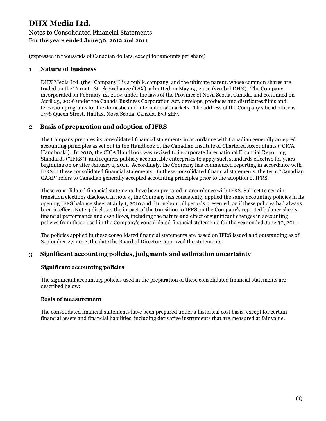## **1 Nature of business**

DHX Media Ltd. (the "Company") is a public company, and the ultimate parent, whose common shares are traded on the Toronto Stock Exchange (TSX), admitted on May 19, 2006 (symbol DHX). The Company, incorporated on February 12, 2004 under the laws of the Province of Nova Scotia, Canada, and continued on April 25, 2006 under the Canada Business Corporation Act, develops, produces and distributes films and television programs for the domestic and international markets. The address of the Company's head office is 1478 Queen Street, Halifax, Nova Scotia, Canada, B3J 2H7.

## **2 Basis of preparation and adoption of IFRS**

The Company prepares its consolidated financial statements in accordance with Canadian generally accepted accounting principles as set out in the Handbook of the Canadian Institute of Chartered Accountants ("CICA Handbook"). In 2010, the CICA Handbook was revised to incorporate International Financial Reporting Standards ("IFRS"), and requires publicly accountable enterprises to apply such standards effective for years beginning on or after January 1, 2011. Accordingly, the Company has commenced reporting in accordance with IFRS in these consolidated financial statements. In these consolidated financial statements, the term "Canadian GAAP" refers to Canadian generally accepted accounting principles prior to the adoption of IFRS.

These consolidated financial statements have been prepared in accordance with IFRS. Subject to certain transition elections disclosed in note 4, the Company has consistently applied the same accounting policies in its opening IFRS balance sheet at July 1, 2010 and throughout all periods presented, as if these policies had always been in effect. Note 4 discloses the impact of the transition to IFRS on the Company's reported balance sheets, financial performance and cash flows, including the nature and effect of significant changes in accounting policies from those used in the Company's consolidated financial statements for the year ended June 30, 2011.

The policies applied in these consolidated financial statements are based on IFRS issued and outstanding as of September 27, 2012, the date the Board of Directors approved the statements.

## **3 Significant accounting policies, judgments and estimation uncertainty**

## **Significant accounting policies**

The significant accounting policies used in the preparation of these consolidated financial statements are described below:

#### **Basis of measurement**

The consolidated financial statements have been prepared under a historical cost basis, except for certain financial assets and financial liabilities, including derivative instruments that are measured at fair value.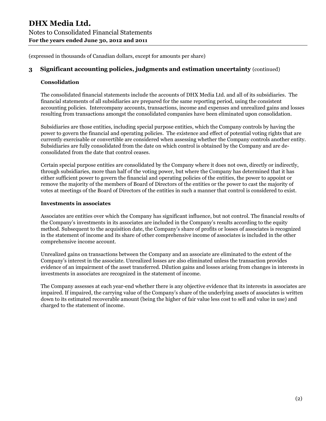## **3 Significant accounting policies, judgments and estimation uncertainty** (continued)

#### **Consolidation**

The consolidated financial statements include the accounts of DHX Media Ltd. and all of its subsidiaries. The financial statements of all subsidiaries are prepared for the same reporting period, using the consistent accounting policies. Intercompany accounts, transactions, income and expenses and unrealized gains and losses resulting from transactions amongst the consolidated companies have been eliminated upon consolidation.

Subsidiaries are those entities, including special purpose entities, which the Company controls by having the power to govern the financial and operating policies. The existence and effect of potential voting rights that are currently exercisable or convertible are considered when assessing whether the Company controls another entity. Subsidiaries are fully consolidated from the date on which control is obtained by the Company and are deconsolidated from the date that control ceases.

Certain special purpose entities are consolidated by the Company where it does not own, directly or indirectly, through subsidiaries, more than half of the voting power, but where the Company has determined that it has either sufficient power to govern the financial and operating policies of the entities, the power to appoint or remove the majority of the members of Board of Directors of the entities or the power to cast the majority of votes at meetings of the Board of Directors of the entities in such a manner that control is considered to exist.

#### **Investments in associates**

Associates are entities over which the Company has significant influence, but not control. The financial results of the Company's investments in its associates are included in the Company's results according to the equity method. Subsequent to the acquisition date, the Company's share of profits or losses of associates is recognized in the statement of income and its share of other comprehensive income of associates is included in the other comprehensive income account.

Unrealized gains on transactions between the Company and an associate are eliminated to the extent of the Company's interest in the associate. Unrealized losses are also eliminated unless the transaction provides evidence of an impairment of the asset transferred. Dilution gains and losses arising from changes in interests in investments in associates are recognized in the statement of income.

The Company assesses at each year-end whether there is any objective evidence that its interests in associates are impaired. If impaired, the carrying value of the Company's share of the underlying assets of associates is written down to its estimated recoverable amount (being the higher of fair value less cost to sell and value in use) and charged to the statement of income.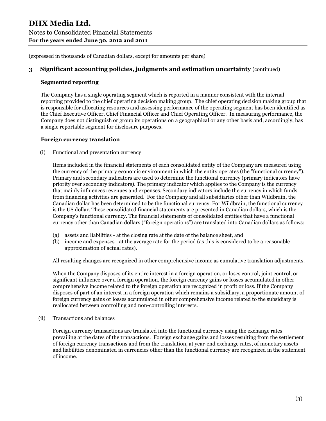## **3 Significant accounting policies, judgments and estimation uncertainty** (continued)

#### **Segmented reporting**

The Company has a single operating segment which is reported in a manner consistent with the internal reporting provided to the chief operating decision making group. The chief operating decision making group that is responsible for allocating resources and assessing performance of the operating segment has been identified as the Chief Executive Officer, Chief Financial Officer and Chief Operating Officer. In measuring performance, the Company does not distinguish or group its operations on a geographical or any other basis and, accordingly, has a single reportable segment for disclosure purposes.

#### **Foreign currency translation**

(i) Functional and presentation currency

Items included in the financial statements of each consolidated entity of the Company are measured using the currency of the primary economic environment in which the entity operates (the "functional currency"). Primary and secondary indicators are used to determine the functional currency (primary indicators have priority over secondary indicators). The primary indicator which applies to the Company is the currency that mainly influences revenues and expenses. Secondary indicators include the currency in which funds from financing activities are generated. For the Company and all subsidiaries other than Wildbrain, the Canadian dollar has been determined to be the functional currency. For Wildbrain, the functional currency is the US dollar. These consolidated financial statements are presented in Canadian dollars, which is the Company's functional currency. The financial statements of consolidated entities that have a functional currency other than Canadian dollars ("foreign operations") are translated into Canadian dollars as follows:

- (a) assets and liabilities at the closing rate at the date of the balance sheet, and
- (b) income and expenses at the average rate for the period (as this is considered to be a reasonable approximation of actual rates).

All resulting changes are recognized in other comprehensive income as cumulative translation adjustments.

When the Company disposes of its entire interest in a foreign operation, or loses control, joint control, or significant influence over a foreign operation, the foreign currency gains or losses accumulated in other comprehensive income related to the foreign operation are recognized in profit or loss. If the Company disposes of part of an interest in a foreign operation which remains a subsidiary, a proportionate amount of foreign currency gains or losses accumulated in other comprehensive income related to the subsidiary is reallocated between controlling and non-controlling interests.

(ii) Transactions and balances

Foreign currency transactions are translated into the functional currency using the exchange rates prevailing at the dates of the transactions. Foreign exchange gains and losses resulting from the settlement of foreign currency transactions and from the translation, at year-end exchange rates, of monetary assets and liabilities denominated in currencies other than the functional currency are recognized in the statement of income.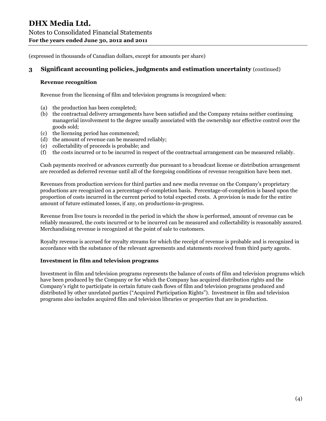## **3 Significant accounting policies, judgments and estimation uncertainty** (continued)

#### **Revenue recognition**

Revenue from the licensing of film and television programs is recognized when:

- (a) the production has been completed;
- (b) the contractual delivery arrangements have been satisfied and the Company retains neither continuing managerial involvement to the degree usually associated with the ownership nor effective control over the goods sold;
- (c) the licensing period has commenced;
- (d) the amount of revenue can be measured reliably;
- (e) collectability of proceeds is probable; and
- (f) the costs incurred or to be incurred in respect of the contractual arrangement can be measured reliably.

Cash payments received or advances currently due pursuant to a broadcast license or distribution arrangement are recorded as deferred revenue until all of the foregoing conditions of revenue recognition have been met.

Revenues from production services for third parties and new media revenue on the Company's proprietary productions are recognized on a percentage-of-completion basis. Percentage-of-completion is based upon the proportion of costs incurred in the current period to total expected costs. A provision is made for the entire amount of future estimated losses, if any, on productions-in-progress.

Revenue from live tours is recorded in the period in which the show is performed, amount of revenue can be reliably measured, the costs incurred or to be incurred can be measured and collectability is reasonably assured. Merchandising revenue is recognized at the point of sale to customers.

Royalty revenue is accrued for royalty streams for which the receipt of revenue is probable and is recognized in accordance with the substance of the relevant agreements and statements received from third party agents.

#### **Investment in film and television programs**

Investment in film and television programs represents the balance of costs of film and television programs which have been produced by the Company or for which the Company has acquired distribution rights and the Company's right to participate in certain future cash flows of film and television programs produced and distributed by other unrelated parties ("Acquired Participation Rights"). Investment in film and television programs also includes acquired film and television libraries or properties that are in production.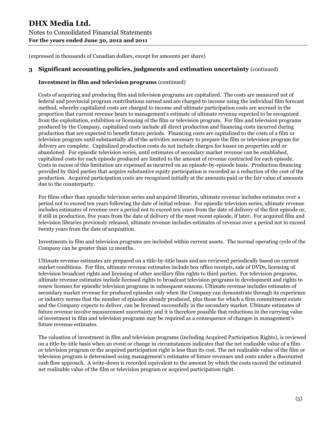## **3 Significant accounting policies, judgments and estimation uncertainty** (continued)

## **Investment in film and television programs** (continued)

Costs of acquiring and producing film and television programs are capitalized. The costs are measured net of federal and provincial program contributions earned and are charged to income using the individual film forecast method, whereby capitalized costs are charged to income and ultimate participation costs are accrued in the proportion that current revenue bears to management's estimate of ultimate revenue expected to be recognized from the exploitation, exhibition or licensing of the film or television program. For film and television programs produced by the Company, capitalized costs include all direct production and financing costs incurred during production that are expected to benefit future periods. Financing costs are capitalized to the costs of a film or television program until substantially all of the activities necessary to prepare the film or television program for delivery are complete. Capitalized production costs do not include charges for losses on properties sold or abandoned. For episodic television series, until estimates of secondary market revenue can be established, capitalized costs for each episode produced are limited to the amount of revenue contracted for each episode. Costs in excess of this limitation are expensed as incurred on an episode-by-episode basis. Production financing provided by third parties that acquire substantive equity participation is recorded as a reduction of the cost of the production. Acquired participation costs are recognized initially at the amounts paid or the fair value of amounts due to the counterparty.

For films other than episodic television series and acquired libraries, ultimate revenue includes estimates over a period not to exceed ten years following the date of initial release. For episodic television series, ultimate revenue includes estimates of revenue over a period not to exceed ten years from the date of delivery of the first episode or, if still in production, five years from the date of delivery of the most recent episode, if later. For acquired film and television libraries previously released, ultimate revenue includes estimates of revenue over a period not to exceed twenty years from the date of acquisition.

Investments in film and television programs are included within current assets. The normal operating cycle of the Company can be greater than 12 months.

Ultimate revenue estimates are prepared on a title-by-title basis and are reviewed periodically based on current market conditions. For film, ultimate revenue estimates include box office receipts, sale of DVDs, licensing of television broadcast rights and licensing of other ancillary film rights to third parties. For television programs, ultimate revenue estimates include licensed rights to broadcast television programs in development and rights to renew licenses for episodic television programs in subsequent seasons. Ultimate revenue includes estimates of secondary market revenue for produced episodes only when the Company can demonstrate through its experience or industry norms that the number of episodes already produced, plus those for which a firm commitment exists and the Company expects to deliver, can be licensed successfully in the secondary market. Ultimate estimates of future revenue involve measurement uncertainty and it is therefore possible that reductions in the carrying value of investment in film and television programs may be required as a consequence of changes in management's future revenue estimates.

The valuation of investment in film and television programs (including Acquired Participation Rights), is reviewed on a title-by-title basis when an event or change in circumstances indicates that the net realizable value of a film or television program or the acquired participation right is less than its cost. The net realizable value of the film or television program is determined using management's estimates of future revenues and costs under a discounted cash flow approach. A write-down is recorded equivalent to the amount by which the costs exceed the estimated net realizable value of the film or television program or acquired participation right.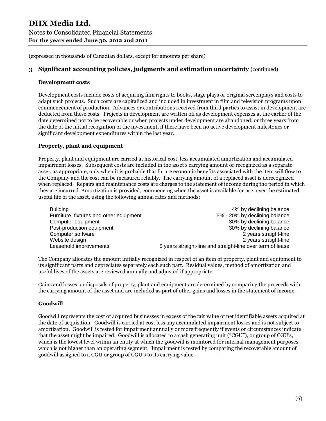## **3 Significant accounting policies, judgments and estimation uncertainty** (continued)

#### **Development costs**

Development costs include costs of acquiring film rights to books, stage plays or original screenplays and costs to adapt such projects. Such costs are capitalized and included in investment in film and television programs upon commencement of production. Advances or contributions received from third parties to assist in development are deducted from these costs. Projects in development are written off as development expenses at the earlier of the date determined not to be recoverable or when projects under development are abandoned, or three years from the date of the initial recognition of the investment, if there have been no active development milestones or significant development expenditures within the last year.

## **Property, plant and equipment**

Property, plant and equipment are carried at historical cost, less accumulated amortization and accumulated impairment losses. Subsequent costs are included in the asset's carrying amount or recognized as a separate asset, as appropriate, only when it is probable that future economic benefits associated with the item will flow to the Company and the cost can be measured reliably. The carrying amount of a replaced asset is derecognized when replaced. Repairs and maintenance costs are charges to the statement of income during the period in which they are incurred. Amortization is provided, commencing when the asset is available for use, over the estimated useful life of the asset, using the following annual rates and methods:

| <b>Building</b>                         | 4% by declining balance                                    |
|-----------------------------------------|------------------------------------------------------------|
| Furniture, fixtures and other equipment | 5% - 20% by declining balance                              |
| Computer equipment                      | 30% by declining balance                                   |
| Post-production equipment               | 30% by declining balance                                   |
| Computer software                       | 2 years straight-line                                      |
| Website design                          | 2 years straight-line                                      |
| Leasehold improvements                  | 5 years straight-line and straight-line over term of lease |

The Company allocates the amount initially recognized in respect of an item of property, plant and equipment to its significant parts and depreciates separately each such part. Residual values, method of amortization and useful lives of the assets are reviewed annually and adjusted if appropriate.

Gains and losses on disposals of property, plant and equipment are determined by comparing the proceeds with the carrying amount of the asset and are included as part of other gains and losses in the statement of income.

#### **Goodwill**

Goodwill represents the cost of acquired businesses in excess of the fair value of net identifiable assets acquired at the date of acquisition. Goodwill is carried at cost less any accumulated impairment losses and is not subject to amortization. Goodwill is tested for impairment annually or more frequently if events or circumstances indicate that the asset might be impaired. Goodwill is allocated to a cash generating unit ("CGU"), or group of CGU's, which is the lowest level within an entity at which the goodwill is monitored for internal management purposes, which is not higher than an operating segment. Impairment is tested by comparing the recoverable amount of goodwill assigned to a CGU or group of CGU's to its carrying value.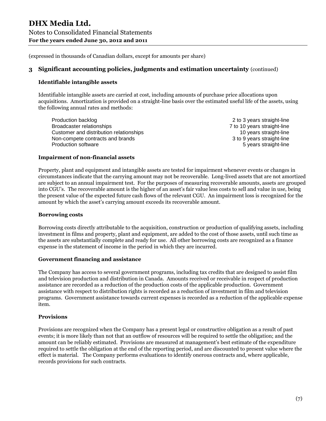## **3 Significant accounting policies, judgments and estimation uncertainty** (continued)

#### **Identifiable intangible assets**

Identifiable intangible assets are carried at cost, including amounts of purchase price allocations upon acquisitions. Amortization is provided on a straight-line basis over the estimated useful life of the assets, using the following annual rates and methods:

Production backlog 2 to 3 years straight-line Broadcaster relationships 7 to 10 years straight-line Customer and distribution relationships 10 years straight-line Non-compete contracts and brands 3 to 9 years straight-line Production software **5** years straight-line

#### **Impairment of non-financial assets**

Property, plant and equipment and intangible assets are tested for impairment whenever events or changes in circumstances indicate that the carrying amount may not be recoverable. Long-lived assets that are not amortized are subject to an annual impairment test. For the purposes of measuring recoverable amounts, assets are grouped into CGU's. The recoverable amount is the higher of an asset's fair value less costs to sell and value in use, being the present value of the expected future cash flows of the relevant CGU. An impairment loss is recognized for the amount by which the asset's carrying amount exceeds its recoverable amount.

#### **Borrowing costs**

Borrowing costs directly attributable to the acquisition, construction or production of qualifying assets, including investment in films and property, plant and equipment, are added to the cost of those assets, until such time as the assets are substantially complete and ready for use. All other borrowing costs are recognized as a finance expense in the statement of income in the period in which they are incurred.

#### **Government financing and assistance**

The Company has access to several government programs, including tax credits that are designed to assist film and television production and distribution in Canada. Amounts received or receivable in respect of production assistance are recorded as a reduction of the production costs of the applicable production. Government assistance with respect to distribution rights is recorded as a reduction of investment in film and television programs. Government assistance towards current expenses is recorded as a reduction of the applicable expense item.

#### **Provisions**

Provisions are recognized when the Company has a present legal or constructive obligation as a result of past events; it is more likely than not that an outflow of resources will be required to settle the obligation; and the amount can be reliably estimated. Provisions are measured at management's best estimate of the expenditure required to settle the obligation at the end of the reporting period, and are discounted to present value where the effect is material. The Company performs evaluations to identify onerous contracts and, where applicable, records provisions for such contracts.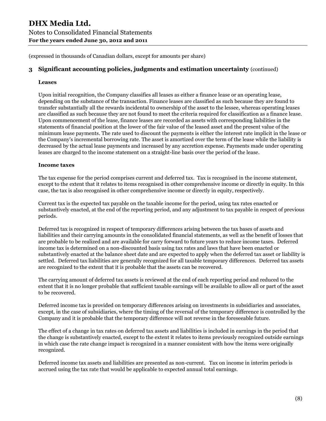## **3 Significant accounting policies, judgments and estimation uncertainty** (continued)

#### **Leases**

Upon initial recognition, the Company classifies all leases as either a finance lease or an operating lease, depending on the substance of the transaction. Finance leases are classified as such because they are found to transfer substantially all the rewards incidental to ownership of the asset to the lessee, whereas operating leases are classified as such because they are not found to meet the criteria required for classification as a finance lease. Upon commencement of the lease, finance leases are recorded as assets with corresponding liabilities in the statements of financial position at the lower of the fair value of the leased asset and the present value of the minimum lease payments. The rate used to discount the payments is either the interest rate implicit in the lease or the Company's incremental borrowing rate. The asset is amortized over the term of the lease while the liability is decreased by the actual lease payments and increased by any accretion expense. Payments made under operating leases are charged to the income statement on a straight-line basis over the period of the lease.

#### **Income taxes**

The tax expense for the period comprises current and deferred tax. Tax is recognised in the income statement, except to the extent that it relates to items recognised in other comprehensive income or directly in equity. In this case, the tax is also recognised in other comprehensive income or directly in equity, respectively.

Current tax is the expected tax payable on the taxable income for the period, using tax rates enacted or substantively enacted, at the end of the reporting period, and any adjustment to tax payable in respect of previous periods.

Deferred tax is recognized in respect of temporary differences arising between the tax bases of assets and liabilities and their carrying amounts in the consolidated financial statements, as well as the benefit of losses that are probable to be realized and are available for carry forward to future years to reduce income taxes. Deferred income tax is determined on a non-discounted basis using tax rates and laws that have been enacted or substantively enacted at the balance sheet date and are expected to apply when the deferred tax asset or liability is settled. Deferred tax liabilities are generally recognized for all taxable temporary differences. Deferred tax assets are recognized to the extent that it is probable that the assets can be recovered.

The carrying amount of deferred tax assets is reviewed at the end of each reporting period and reduced to the extent that it is no longer probable that sufficient taxable earnings will be available to allow all or part of the asset to be recovered.

Deferred income tax is provided on temporary differences arising on investments in subsidiaries and associates, except, in the case of subsidiaries, where the timing of the reversal of the temporary difference is controlled by the Company and it is probable that the temporary difference will not reverse in the foreseeable future.

The effect of a change in tax rates on deferred tax assets and liabilities is included in earnings in the period that the change is substantively enacted, except to the extent it relates to items previously recognized outside earnings in which case the rate change impact is recognized in a manner consistent with how the items were originally recognized.

Deferred income tax assets and liabilities are presented as non-current. Tax on income in interim periods is accrued using the tax rate that would be applicable to expected annual total earnings.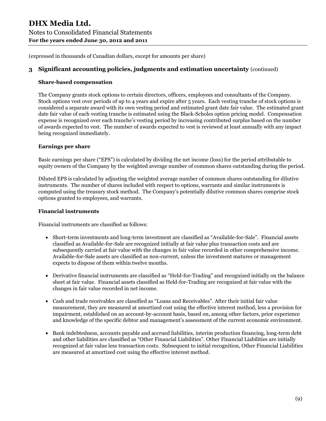## **3 Significant accounting policies, judgments and estimation uncertainty** (continued)

#### **Share-based compensation**

The Company grants stock options to certain directors, officers, employees and consultants of the Company. Stock options vest over periods of up to 4 years and expire after 5 years. Each vesting tranche of stock options is considered a separate award with its own vesting period and estimated grant date fair value. The estimated grant date fair value of each vesting tranche is estimated using the Black-Scholes option pricing model. Compensation expense is recognized over each tranche's vesting period by increasing contributed surplus based on the number of awards expected to vest. The number of awards expected to vest is reviewed at least annually with any impact being recognized immediately.

## **Earnings per share**

Basic earnings per share ("EPS") is calculated by dividing the net income (loss) for the period attributable to equity owners of the Company by the weighted average number of common shares outstanding during the period.

Diluted EPS is calculated by adjusting the weighted average number of common shares outstanding for dilutive instruments. The number of shares included with respect to options, warrants and similar instruments is computed using the treasury stock method. The Company's potentially dilutive common shares comprise stock options granted to employees, and warrants.

#### **Financial instruments**

Financial instruments are classified as follows:

- Short-term investments and long-term investment are classified as "Available-for-Sale". Financial assets classified as Available-for-Sale are recognized initially at fair value plus transaction costs and are subsequently carried at fair value with the changes in fair value recorded in other comprehensive income. Available-for-Sale assets are classified as non-current, unless the investment matures or management expects to dispose of them within twelve months.
- Derivative financial instruments are classified as "Held-for-Trading" and recognized initially on the balance sheet at fair value. Financial assets classified as Held-for-Trading are recognized at fair value with the changes in fair value recorded in net income.
- Cash and trade receivables are classified as "Loans and Receivables". After their initial fair value measurement, they are measured at amortized cost using the effective interest method, less a provision for impairment, established on an account-by-account basis, based on, among other factors, prior experience and knowledge of the specific debtor and management's assessment of the current economic environment.
- Bank indebtedness, accounts payable and accrued liabilities, interim production financing, long-term debt and other liabilities are classified as "Other Financial Liabilities". Other Financial Liabilities are initially recognized at fair value less transaction costs. Subsequent to initial recognition, Other Financial Liabilities are measured at amortized cost using the effective interest method.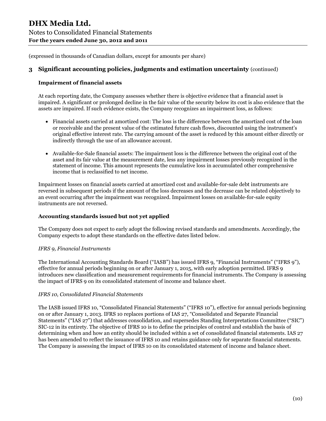## **3 Significant accounting policies, judgments and estimation uncertainty** (continued)

#### **Impairment of financial assets**

At each reporting date, the Company assesses whether there is objective evidence that a financial asset is impaired. A significant or prolonged decline in the fair value of the security below its cost is also evidence that the assets are impaired. If such evidence exists, the Company recognizes an impairment loss, as follows:

- Financial assets carried at amortized cost: The loss is the difference between the amortized cost of the loan or receivable and the present value of the estimated future cash flows, discounted using the instrument's original effective interest rate. The carrying amount of the asset is reduced by this amount either directly or indirectly through the use of an allowance account.
- Available-for-Sale financial assets: The impairment loss is the difference between the original cost of the asset and its fair value at the measurement date, less any impairment losses previously recognized in the statement of income. This amount represents the cumulative loss in accumulated other comprehensive income that is reclassified to net income.

Impairment losses on financial assets carried at amortized cost and available-for-sale debt instruments are reversed in subsequent periods if the amount of the loss decreases and the decrease can be related objectively to an event occurring after the impairment was recognized. Impairment losses on available-for-sale equity instruments are not reversed.

#### **Accounting standards issued but not yet applied**

The Company does not expect to early adopt the following revised standards and amendments. Accordingly, the Company expects to adopt these standards on the effective dates listed below.

#### *IFRS 9, Financial Instruments*

The International Accounting Standards Board ("IASB") has issued IFRS 9, "Financial Instruments" ("IFRS 9"), effective for annual periods beginning on or after January 1, 2015, with early adoption permitted. IFRS 9 introduces new classification and measurement requirements for financial instruments. The Company is assessing the impact of IFRS 9 on its consolidated statement of income and balance sheet.

#### *IFRS 10, Consolidated Financial Statements*

The IASB issued IFRS 10, "Consolidated Financial Statements" ("IFRS 10"), effective for annual periods beginning on or after January 1, 2013. IFRS 10 replaces portions of IAS 27, "Consolidated and Separate Financial Statements" ("IAS 27") that addresses consolidation, and supersedes Standing Interpretations Committee ("SIC") SIC-12 in its entirety. The objective of IFRS 10 is to define the principles of control and establish the basis of determining when and how an entity should be included within a set of consolidated financial statements. IAS 27 has been amended to reflect the issuance of IFRS 10 and retains guidance only for separate financial statements. The Company is assessing the impact of IFRS 10 on its consolidated statement of income and balance sheet.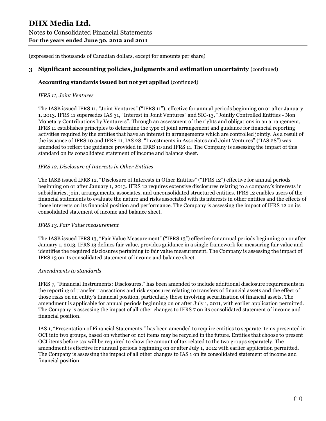## **3 Significant accounting policies, judgments and estimation uncertainty** (continued)

## **Accounting standards issued but not yet applied** (continued)

#### *IFRS 11, Joint Ventures*

The IASB issued IFRS 11, "Joint Ventures" ("IFRS 11"), effective for annual periods beginning on or after January 1, 2013. IFRS 11 supersedes IAS 31, "Interest in Joint Ventures" and SIC-13, "Jointly Controlled Entities - Non Monetary Contributions by Venturers". Through an assessment of the rights and obligations in an arrangement, IFRS 11 establishes principles to determine the type of joint arrangement and guidance for financial reporting activities required by the entities that have an interest in arrangements which are controlled jointly. As a result of the issuance of IFRS 10 and IFRS 11, IAS 28, "Investments in Associates and Joint Ventures" ("IAS 28") was amended to reflect the guidance provided in IFRS 10 and IFRS 11. The Company is assessing the impact of this standard on its consolidated statement of income and balance sheet.

#### *IFRS 12, Disclosure of Interests in Other Entities*

The IASB issued IFRS 12, "Disclosure of Interests in Other Entities" ("IFRS 12") effective for annual periods beginning on or after January 1, 2013. IFRS 12 requires extensive disclosures relating to a company's interests in subsidiaries, joint arrangements, associates, and unconsolidated structured entities. IFRS 12 enables users of the financial statements to evaluate the nature and risks associated with its interests in other entities and the effects of those interests on its financial position and performance. The Company is assessing the impact of IFRS 12 on its consolidated statement of income and balance sheet.

#### *IFRS 13, Fair Value measurement*

The IASB issued IFRS 13, "Fair Value Measurement" ("IFRS 13") effective for annual periods beginning on or after January 1, 2013. IFRS 13 defines fair value, provides guidance in a single framework for measuring fair value and identifies the required disclosures pertaining to fair value measurement. The Company is assessing the impact of IFRS 13 on its consolidated statement of income and balance sheet.

#### *Amendments to standards*

IFRS 7, "Financial Instruments: Disclosures," has been amended to include additional disclosure requirements in the reporting of transfer transactions and risk exposures relating to transfers of financial assets and the effect of those risks on an entity's financial position, particularly those involving securitization of financial assets. The amendment is applicable for annual periods beginning on or after July 1, 2011, with earlier application permitted. The Company is assessing the impact of all other changes to IFRS 7 on its consolidated statement of income and financial position.

IAS 1, "Presentation of Financial Statements," has been amended to require entities to separate items presented in OCI into two groups, based on whether or not items may be recycled in the future. Entities that choose to present OCI items before tax will be required to show the amount of tax related to the two groups separately. The amendment is effective for annual periods beginning on or after July 1, 2012 with earlier application permitted. The Company is assessing the impact of all other changes to IAS 1 on its consolidated statement of income and financial position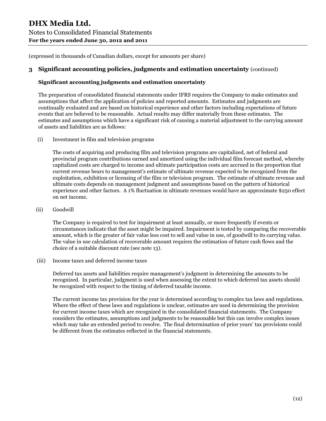## **3 Significant accounting policies, judgments and estimation uncertainty** (continued)

## **Significant accounting judgments and estimation uncertainty**

The preparation of consolidated financial statements under IFRS requires the Company to make estimates and assumptions that affect the application of policies and reported amounts. Estimates and judgments are continually evaluated and are based on historical experience and other factors including expectations of future events that are believed to be reasonable. Actual results may differ materially from these estimates. The estimates and assumptions which have a significant risk of causing a material adjustment to the carrying amount of assets and liabilities are as follows:

(i) Investment in film and television programs

The costs of acquiring and producing film and television programs are capitalized, net of federal and provincial program contributions earned and amortized using the individual film forecast method, whereby capitalized costs are charged to income and ultimate participation costs are accrued in the proportion that current revenue bears to management's estimate of ultimate revenue expected to be recognized from the exploitation, exhibition or licensing of the film or television program. The estimate of ultimate revenue and ultimate costs depends on management judgment and assumptions based on the pattern of historical experience and other factors. A 1% fluctuation in ultimate revenues would have an approximate \$250 effect on net income.

(ii) Goodwill

The Company is required to test for impairment at least annually, or more frequently if events or circumstances indicate that the asset might be impaired. Impairment is tested by comparing the recoverable amount, which is the greater of fair value less cost to sell and value in use, of goodwill to its carrying value. The value in use calculation of recoverable amount requires the estimation of future cash flows and the choice of a suitable discount rate (see note 13).

(iii) Income taxes and deferred income taxes

Deferred tax assets and liabilities require management's judgment in determining the amounts to be recognized. In particular, judgment is used when assessing the extent to which deferred tax assets should be recognized with respect to the timing of deferred taxable income.

The current income tax provision for the year is determined according to complex tax laws and regulations. Where the effect of these laws and regulations is unclear, estimates are used in determining the provision for current income taxes which are recognized in the consolidated financial statements. The Company considers the estimates, assumptions and judgments to be reasonable but this can involve complex issues which may take an extended period to resolve. The final determination of prior years' tax provisions could be different from the estimates reflected in the financial statements.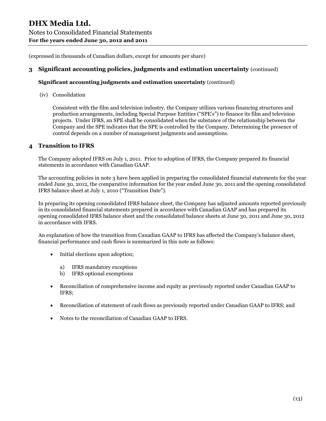## **3 Significant accounting policies, judgments and estimation uncertainty** (continued)

#### **Significant accounting judgments and estimation uncertainty** (continued)

(iv) Consolidation

Consistent with the film and television industry, the Company utilizes various financing structures and production arrangements, including Special Purpose Entities ("SPE's") to finance its film and television projects. Under IFRS, an SPE shall be consolidated when the substance of the relationship between the Company and the SPE indicates that the SPE is controlled by the Company. Determining the presence of control depends on a number of management judgments and assumptions.

## **4 Transition to IFRS**

The Company adopted IFRS on July 1, 2011. Prior to adoption of IFRS, the Company prepared its financial statements in accordance with Canadian GAAP.

The accounting policies in note 3 have been applied in preparing the consolidated financial statements for the year ended June 30, 2012, the comparative information for the year ended June 30, 2011 and the opening consolidated IFRS balance sheet at July 1, 2010 ("Transition Date").

In preparing its opening consolidated IFRS balance sheet, the Company has adjusted amounts reported previously in its consolidated financial statements prepared in accordance with Canadian GAAP and has prepared its opening consolidated IFRS balance sheet and the consolidated balance sheets at June 30, 2011 and June 30, 2012 in accordance with IFRS.

An explanation of how the transition from Canadian GAAP to IFRS has affected the Company's balance sheet, financial performance and cash flows is summarized in this note as follows:

- Initial elections upon adoption;
	- a) IFRS mandatory exceptions
	- b) IFRS optional exemptions
- Reconciliation of comprehensive income and equity as previously reported under Canadian GAAP to IFRS;
- Reconciliation of statement of cash flows as previously reported under Canadian GAAP to IFRS; and
- Notes to the reconciliation of Canadian GAAP to IFRS.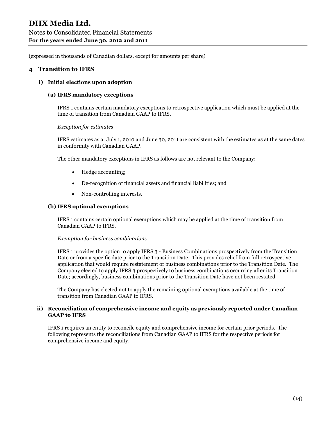#### **4 Transition to IFRS**

#### **i) Initial elections upon adoption**

#### **(a) IFRS mandatory exceptions**

IFRS 1 contains certain mandatory exceptions to retrospective application which must be applied at the time of transition from Canadian GAAP to IFRS.

*Exception for estimates*

IFRS estimates as at July 1, 2010 and June 30, 2011 are consistent with the estimates as at the same dates in conformity with Canadian GAAP.

The other mandatory exceptions in IFRS as follows are not relevant to the Company:

- Hedge accounting;
- De-recognition of financial assets and financial liabilities; and
- Non-controlling interests.

#### **(b) IFRS optional exemptions**

IFRS 1 contains certain optional exemptions which may be applied at the time of transition from Canadian GAAP to IFRS.

#### *Exemption for business combinations*

IFRS 1 provides the option to apply IFRS 3 - Business Combinations prospectively from the Transition Date or from a specific date prior to the Transition Date. This provides relief from full retrospective application that would require restatement of business combinations prior to the Transition Date. The Company elected to apply IFRS 3 prospectively to business combinations occurring after its Transition Date; accordingly, business combinations prior to the Transition Date have not been restated.

The Company has elected not to apply the remaining optional exemptions available at the time of transition from Canadian GAAP to IFRS.

#### **ii) Reconciliation of comprehensive income and equity as previously reported under Canadian GAAP to IFRS**

IFRS 1 requires an entity to reconcile equity and comprehensive income for certain prior periods. The following represents the reconciliations from Canadian GAAP to IFRS for the respective periods for comprehensive income and equity.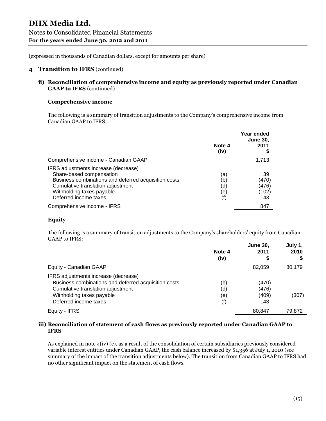#### **4 Transition to IFRS** (continued)

**ii) Reconciliation of comprehensive income and equity as previously reported under Canadian GAAP to IFRS** (continued)

#### **Comprehensive income**

The following is a summary of transition adjustments to the Company's comprehensive income from Canadian GAAP to IFRS:

|                                                                                                                                                                                                                     | Note 4<br>(iv)                  | Year ended<br><b>June 30.</b><br>2011 |
|---------------------------------------------------------------------------------------------------------------------------------------------------------------------------------------------------------------------|---------------------------------|---------------------------------------|
| Comprehensive income - Canadian GAAP                                                                                                                                                                                |                                 | 1,713                                 |
| IFRS adjustments increase (decrease)<br>Share-based compensation<br>Business combinations and deferred acquisition costs<br>Cumulative translation adjustment<br>Withholding taxes payable<br>Deferred income taxes | (a)<br>(b)<br>(d)<br>(e)<br>(f) | 39<br>(470)<br>(476)<br>(102)<br>143  |
| Comprehensive income - IFRS                                                                                                                                                                                         |                                 | 847                                   |

#### **Equity**

The following is a summary of transition adjustments to the Company's shareholders' equity from Canadian GAAP to IFRS:

|                                                      | Note 4<br>(iv) | <b>June 30,</b><br>2011<br>\$ | July 1,<br>2010 |
|------------------------------------------------------|----------------|-------------------------------|-----------------|
| Equity - Canadian GAAP                               |                | 82.059                        | 80,179          |
| IFRS adjustments increase (decrease)                 |                |                               |                 |
| Business combinations and deferred acquisition costs | (b)            | (470)                         |                 |
| Cumulative translation adjustment                    | (d)            | (476)                         |                 |
| Withholding taxes payable                            | (e)            | (409)                         | (307)           |
| Deferred income taxes                                | (f)            | 143                           |                 |
| Equity - IFRS                                        |                | 80.847                        | 79.872          |

#### **iii) Reconciliation of statement of cash flows as previously reported under Canadian GAAP to IFRS**

As explained in note 4(iv) (c), as a result of the consolidation of certain subsidiaries previously considered variable interest entities under Canadian GAAP, the cash balance increased by \$1,356 at July 1, 2010 (see summary of the impact of the transition adjustments below). The transition from Canadian GAAP to IFRS had no other significant impact on the statement of cash flows.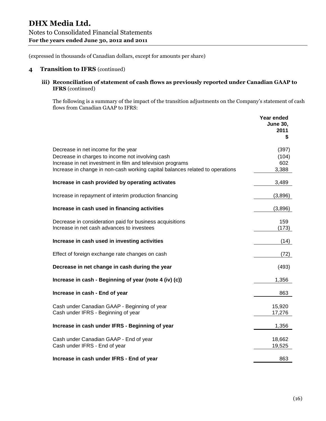#### **4 Transition to IFRS** (continued)

**iii) Reconciliation of statement of cash flows as previously reported under Canadian GAAP to IFRS** (continued)

The following is a summary of the impact of the transition adjustments on the Company's statement of cash flows from Canadian GAAP to IFRS:

|                                                                                                                                                                                                                                        | Year ended<br><b>June 30,</b><br>2011<br>\$ |
|----------------------------------------------------------------------------------------------------------------------------------------------------------------------------------------------------------------------------------------|---------------------------------------------|
| Decrease in net income for the year<br>Decrease in charges to income not involving cash<br>Increase in net investment in film and television programs<br>Increase in change in non-cash working capital balances related to operations | (397)<br>(104)<br>602<br>3,388              |
| Increase in cash provided by operating activates                                                                                                                                                                                       | 3,489                                       |
| Increase in repayment of interim production financing                                                                                                                                                                                  | (3,896)                                     |
| Increase in cash used in financing activities                                                                                                                                                                                          | (3,896)                                     |
| Decrease in consideration paid for business acquisitions<br>Increase in net cash advances to investees                                                                                                                                 | 159<br>(173)                                |
| Increase in cash used in investing activities                                                                                                                                                                                          | (14)                                        |
| Effect of foreign exchange rate changes on cash                                                                                                                                                                                        | (72)                                        |
| Decrease in net change in cash during the year                                                                                                                                                                                         | (493)                                       |
| Increase in cash - Beginning of year (note 4 (iv) (c))                                                                                                                                                                                 | 1,356                                       |
| Increase in cash - End of year                                                                                                                                                                                                         | 863                                         |
| Cash under Canadian GAAP - Beginning of year<br>Cash under IFRS - Beginning of year                                                                                                                                                    | 15,920<br>17,276                            |
| Increase in cash under IFRS - Beginning of year                                                                                                                                                                                        | 1,356                                       |
| Cash under Canadian GAAP - End of year<br>Cash under IFRS - End of year                                                                                                                                                                | 18,662<br>19,525                            |
| Increase in cash under IFRS - End of year                                                                                                                                                                                              | 863                                         |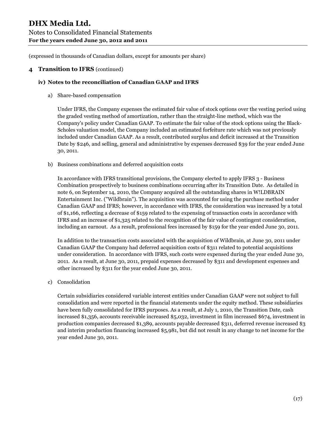#### **4 Transition to IFRS** (continued)

#### **iv) Notes to the reconciliation of Canadian GAAP and IFRS**

a) Share-based compensation

Under IFRS, the Company expenses the estimated fair value of stock options over the vesting period using the graded vesting method of amortization, rather than the straight-line method, which was the Company's policy under Canadian GAAP. To estimate the fair value of the stock options using the Black-Scholes valuation model, the Company included an estimated forfeiture rate which was not previously included under Canadian GAAP. As a result, contributed surplus and deficit increased at the Transition Date by \$246, and selling, general and administrative by expenses decreased \$39 for the year ended June 30, 2011.

b) Business combinations and deferred acquisition costs

In accordance with IFRS transitional provisions, the Company elected to apply IFRS 3 - Business Combination prospectively to business combinations occurring after its Transition Date. As detailed in note 6, on September 14, 2010, the Company acquired all the outstanding shares in W!LDBRAIN Entertainment Inc. ("Wildbrain"). The acquisition was accounted for using the purchase method under Canadian GAAP and IFRS; however, in accordance with IFRS, the consideration was increased by a total of \$1,166, reflecting a decrease of \$159 related to the expensing of transaction costs in accordance with IFRS and an increase of \$1,325 related to the recognition of the fair value of contingent consideration, including an earnout. As a result, professional fees increased by \$159 for the year ended June 30, 2011.

In addition to the transaction costs associated with the acquisition of Wildbrain, at June 30, 2011 under Canadian GAAP the Company had deferred acquisition costs of \$311 related to potential acquisitions under consideration. In accordance with IFRS, such costs were expensed during the year ended June 30, 2011. As a result, at June 30, 2011, prepaid expenses decreased by \$311 and development expenses and other increased by \$311 for the year ended June 30, 2011.

c) Consolidation

Certain subsidiaries considered variable interest entities under Canadian GAAP were not subject to full consolidation and were reported in the financial statements under the equity method. These subsidiaries have been fully consolidated for IFRS purposes. As a result, at July 1, 2010, the Transition Date, cash increased \$1,356, accounts receivable increased \$5,032, investment in film increased \$674, investment in production companies decreased \$1,389, accounts payable decreased \$311, deferred revenue increased \$3 and interim production financing increased \$5,981, but did not result in any change to net income for the year ended June 30, 2011.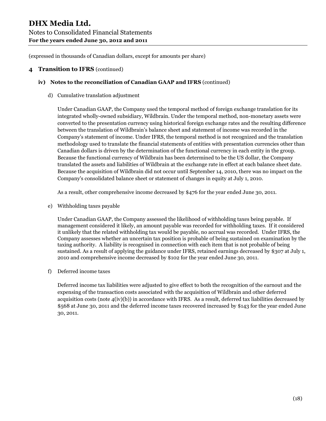#### **4 Transition to IFRS** (continued)

#### **iv) Notes to the reconciliation of Canadian GAAP and IFRS** (continued)

d) Cumulative translation adjustment

Under Canadian GAAP, the Company used the temporal method of foreign exchange translation for its integrated wholly-owned subsidiary, Wildbrain. Under the temporal method, non-monetary assets were converted to the presentation currency using historical foreign exchange rates and the resulting difference between the translation of Wildbrain's balance sheet and statement of income was recorded in the Company's statement of income. Under IFRS, the temporal method is not recognized and the translation methodology used to translate the financial statements of entities with presentation currencies other than Canadian dollars is driven by the determination of the functional currency in each entity in the group. Because the functional currency of Wildbrain has been determined to be the US dollar, the Company translated the assets and liabilities of Wildbrain at the exchange rate in effect at each balance sheet date. Because the acquisition of Wildbrain did not occur until September 14, 2010, there was no impact on the Company's consolidated balance sheet or statement of changes in equity at July 1, 2010.

As a result, other comprehensive income decreased by \$476 for the year ended June 30, 2011.

e) Withholding taxes payable

Under Canadian GAAP, the Company assessed the likelihood of withholding taxes being payable. If management considered it likely, an amount payable was recorded for withholding taxes. If it considered it unlikely that the related withholding tax would be payable, no accrual was recorded. Under IFRS, the Company assesses whether an uncertain tax position is probable of being sustained on examination by the taxing authority. A liability is recognised in connection with each item that is not probable of being sustained. As a result of applying the guidance under IFRS, retained earnings decreased by \$307 at July 1, 2010 and comprehensive income decreased by \$102 for the year ended June 30, 2011.

f) Deferred income taxes

Deferred income tax liabilities were adjusted to give effect to both the recognition of the earnout and the expensing of the transaction costs associated with the acquisition of Wildbrain and other deferred acquisition costs (note  $4(iv)$ (b)) in accordance with IFRS. As a result, deferred tax liabilities decreased by \$568 at June 30, 2011 and the deferred income taxes recovered increased by \$143 for the year ended June 30, 2011.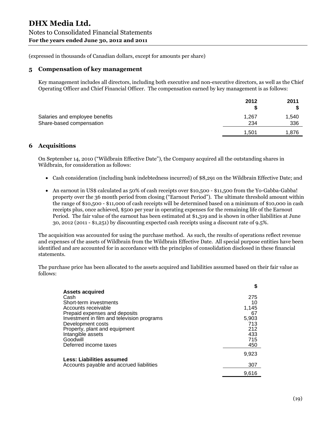#### **5 Compensation of key management**

Key management includes all directors, including both executive and non-executive directors, as well as the Chief Operating Officer and Chief Financial Officer. The compensation earned by key management is as follows:

|                                                            | 2012         | 2011         |
|------------------------------------------------------------|--------------|--------------|
| Salaries and employee benefits<br>Share-based compensation | 1,267<br>234 | 1,540<br>336 |
|                                                            | 1.501        | 1.876        |

## **6 Acquisitions**

On September 14, 2010 ("Wildbrain Effective Date"), the Company acquired all the outstanding shares in Wildbrain, for consideration as follows:

- Cash consideration (including bank indebtedness incurred) of \$8,291 on the Wildbrain Effective Date; and
- An earnout in US\$ calculated as 50% of cash receipts over \$10,500 \$11,500 from the Yo-Gabba-Gabba! property over the 36 month period from closing ("Earnout Period"). The ultimate threshold amount within the range of \$10,500 - \$11,000 of cash receipts will be determined based on a minimum of \$10,000 in cash receipts plus, once achieved, \$500 per year in operating expenses for the remaining life of the Earnout Period. The fair value of the earnout has been estimated at \$1,319 and is shown in other liabilities at June 30, 2012 (2011 - \$1,251) by discounting expected cash receipts using a discount rate of 9.5%.

The acquisition was accounted for using the purchase method. As such, the results of operations reflect revenue and expenses of the assets of Wildbrain from the Wildbrain Effective Date. All special purpose entities have been identified and are accounted for in accordance with the principles of consolidation disclosed in these financial statements.

The purchase price has been allocated to the assets acquired and liabilities assumed based on their fair value as follows:

|                                            | \$    |
|--------------------------------------------|-------|
| <b>Assets acquired</b>                     |       |
| Cash                                       | 275   |
| Short-term investments                     | 10    |
| Accounts receivable                        | 1.145 |
| Prepaid expenses and deposits              | 67    |
| Investment in film and television programs | 5,903 |
| Development costs                          | 713   |
| Property, plant and equipment              | 212   |
| Intangible assets                          | 433   |
| Goodwill                                   | 715   |
| Deferred income taxes                      | 450   |
|                                            | 9.923 |
| <b>Less: Liabilities assumed</b>           |       |
| Accounts payable and accrued liabilities   | 307   |
|                                            | 9,616 |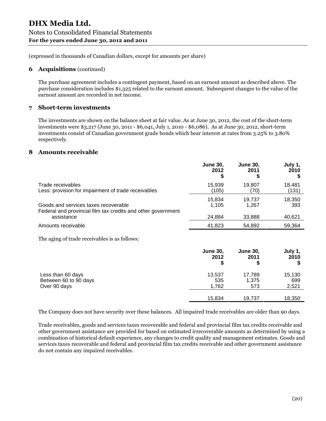#### **6 Acquisitions** (continued)

The purchase agreement includes a contingent payment, based on an earnout amount as described above. The purchase consideration includes \$1,325 related to the earnout amount. Subsequent changes to the value of the earnout amount are recorded in net income.

## **7 Short-term investments**

The investments are shown on the balance sheet at fair value. As at June 30, 2012, the cost of the short-term investments were \$3,217 (June 30, 2011 - \$6,041, July 1, 2010 - \$6,086). As at June 30, 2012, short-term investments consist of Canadian government grade bonds which bear interest at rates from 3.25% to 3.80% respectively.

#### **8 Amounts receivable**

|                                                              | <b>June 30,</b><br>2012 | <b>June 30,</b><br>2011<br>5 | July 1,<br>2010 |
|--------------------------------------------------------------|-------------------------|------------------------------|-----------------|
| Trade receivables                                            | 15.939                  | 19,807                       | 18.481          |
| Less: provision for impairment of trade receivables          | (105)                   | (70)                         | (131)           |
| Goods and services taxes recoverable                         | 15.834                  | 19.737                       | 18,350          |
| Federal and provincial film tax credits and other government | 1.105                   | 1.267                        | 393             |
| assistance                                                   | 24.884                  | 33,888                       | 40,621          |
| Amounts receivable                                           | 41.823                  | 54.892                       | 59.364          |

The aging of trade receivables is as follows:

|                       | <b>June 30,</b><br>2012<br>\$ | <b>June 30,</b><br>2011 | July 1,<br>2010<br>S |
|-----------------------|-------------------------------|-------------------------|----------------------|
| Less than 60 days     | 13,537                        | 17,789                  | 15,130               |
| Between 60 to 90 days | 535                           | 1,375                   | 699                  |
| Over 90 days          | 1,762                         | 573                     | 2,521                |
|                       | 15,834                        | 19,737                  | 18,350               |

The Company does not have security over these balances. All impaired trade receivables are older than 90 days.

Trade receivables, goods and services taxes recoverable and federal and provincial film tax credits receivable and other government assistance are provided for based on estimated irrecoverable amounts as determined by using a combination of historical default experience, any changes to credit quality and management estimates. Goods and services taxes recoverable and federal and provincial film tax credits receivable and other government assistance do not contain any impaired receivables.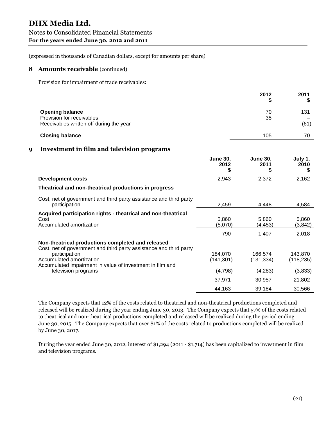#### **8 Amounts receivable** (continued)

Provision for impairment of trade receivables:

|   |                                                                                                                                                                                                                                   |                              | 2012<br>æ.                    | 2011<br>\$            |
|---|-----------------------------------------------------------------------------------------------------------------------------------------------------------------------------------------------------------------------------------|------------------------------|-------------------------------|-----------------------|
|   | <b>Opening balance</b><br>Provision for receivables<br>Receivables written off during the year                                                                                                                                    |                              | 70<br>35                      | 131<br>(61)           |
|   | <b>Closing balance</b>                                                                                                                                                                                                            |                              | 105                           | 70                    |
| 9 | <b>Investment in film and television programs</b>                                                                                                                                                                                 |                              |                               |                       |
|   |                                                                                                                                                                                                                                   | <b>June 30.</b><br>2012<br>S | <b>June 30,</b><br>2011<br>\$ | July 1,<br>2010<br>\$ |
|   | <b>Development costs</b>                                                                                                                                                                                                          | 2,943                        | 2,372                         | 2,162                 |
|   | Theatrical and non-theatrical productions in progress                                                                                                                                                                             |                              |                               |                       |
|   | Cost, net of government and third party assistance and third party<br>participation                                                                                                                                               | 2,459                        | 4,448                         | 4,584                 |
|   | Acquired participation rights - theatrical and non-theatrical<br>Cost<br>Accumulated amortization                                                                                                                                 | 5,860<br>(5,070)             | 5,860<br>(4, 453)             | 5,860<br>(3, 842)     |
|   |                                                                                                                                                                                                                                   | 790                          | 1,407                         | 2,018                 |
|   | Non-theatrical productions completed and released<br>Cost, net of government and third party assistance and third party<br>participation<br>Accumulated amortization<br>Accumulated impairment in value of investment in film and | 184,070<br>(141, 301)        | 166,574<br>(131, 334)         | 143,870<br>(118, 235) |
|   | television programs                                                                                                                                                                                                               | (4,798)                      | (4,283)                       | (3,833)               |
|   |                                                                                                                                                                                                                                   | 37,971                       | 30,957                        | 21,802                |
|   |                                                                                                                                                                                                                                   | 44,163                       | 39,184                        | 30,566                |

The Company expects that 12% of the costs related to theatrical and non-theatrical productions completed and released will be realized during the year ending June 30, 2013. The Company expects that 57% of the costs related to theatrical and non-theatrical productions completed and released will be realized during the period ending June 30, 2015. The Company expects that over 81% of the costs related to productions completed will be realized by June 30, 2017.

During the year ended June 30, 2012, interest of \$1,294 (2011 - \$1,714) has been capitalized to investment in film and television programs.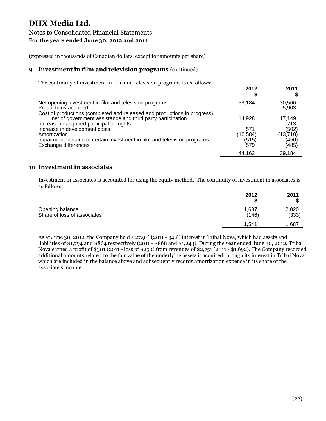#### **9 Investment in film and television programs** (continued)

The continuity of investment in film and television programs is as follows:

| 2012      | 2011     |
|-----------|----------|
| 39,184    | 30,566   |
|           | 5,903    |
|           |          |
|           | 17,149   |
|           | 713      |
| 571       | (502)    |
| (10, 584) | (13,710) |
| (515)     | (450)    |
| 579       | (485)    |
| 44.163    | 39.184   |
|           | 14.928   |

#### **10 Investment in associates**

Investment in associates is accounted for using the equity method. The continuity of investment in associates is as follows:

|                                                | 2012           | 2011           |
|------------------------------------------------|----------------|----------------|
| Opening balance<br>Share of loss of associates | 1,687<br>(146) | 2,020<br>(333) |
|                                                | 1.541          | 1,687          |

As at June 30, 2012, the Company held a 27.9% (2011 - 34%) interest in Tribal Nova, which had assets and liabilities of \$1,794 and \$864 respectively (2011 - \$868 and \$1,243). During the year ended June 30, 2012, Tribal Nova earned a profit of \$301 (2011 - loss of \$250) from revenues of \$2,751 (2011 - \$1,692). The Company recorded additional amounts related to the fair value of the underlying assets it acquired through its interest in Tribal Nova which are included in the balance above and subsequently records amortization expense in its share of the associate's income.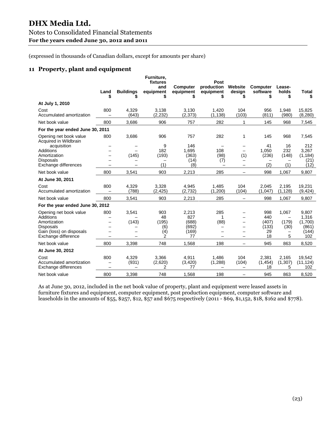# **DHX Media Ltd.** Notes to Consolidated Financial Statements **For the years ended June 30, 2012 and 2011**

(expressed in thousands of Canadian dollars, except for amounts per share)

## **11 Property, plant and equipment**

|                                                          | Land<br>\$               | <b>Buildings</b><br>\$ | Furniture,<br>fixtures<br>and<br>equipment<br>\$ | <b>Computer</b><br>equipment<br>\$ | Post<br>production<br>equipment<br>S | Website<br>design<br>S                                    | <b>Computer</b><br>software<br>\$ | Lease-<br>holds<br>\$  | <b>Total</b><br>\$         |
|----------------------------------------------------------|--------------------------|------------------------|--------------------------------------------------|------------------------------------|--------------------------------------|-----------------------------------------------------------|-----------------------------------|------------------------|----------------------------|
| At July 1, 2010                                          |                          |                        |                                                  |                                    |                                      |                                                           |                                   |                        |                            |
| Cost<br>Accumulated amortization                         | 800<br>$\equiv$          | 4,329<br>(643)         | 3,138<br>(2, 232)                                | 3,130<br>(2, 373)                  | 1,420<br>(1, 138)                    | 104<br>(103)                                              | 956<br>(811)                      | 1,948<br>(980)         | 15,825<br>(8, 280)         |
| Net book value                                           | 800                      | 3,686                  | 906                                              | 757                                | 282                                  | 1                                                         | 145                               | 968                    | 7,545                      |
| For the year ended June 30, 2011                         |                          |                        |                                                  |                                    |                                      |                                                           |                                   |                        |                            |
| Opening net book value<br>Acquired in Wildbrain          | 800                      | 3,686                  | 906                                              | 757                                | 282                                  | 1                                                         | 145                               | 968                    | 7,545                      |
| acquisition<br><b>Additions</b>                          |                          |                        | 9<br>182                                         | 146<br>1.695                       | 108                                  | $\overline{\phantom{0}}$<br>$\overline{\phantom{0}}$      | 41<br>1.050                       | 16<br>232              | 212<br>3,267               |
| Amortization<br><b>Disposals</b>                         |                          | (145)                  | (193)                                            | (363)<br>(14)                      | (98)<br>(7)                          | (1)<br>$\equiv$                                           | (236)                             | (148)                  | (1, 184)<br>(21)           |
| Exchange differences                                     |                          |                        | (1)                                              | (8)                                |                                      | -                                                         | (2)                               | (1)                    | (12)                       |
| Net book value                                           | 800                      | 3,541                  | 903                                              | 2,213                              | 285                                  | $\qquad \qquad -$                                         | 998                               | 1,067                  | 9,807                      |
| At June 30, 2011                                         |                          |                        |                                                  |                                    |                                      |                                                           |                                   |                        |                            |
| Cost<br>Accumulated amortization                         | 800                      | 4,329<br>(788)         | 3,328<br>(2, 425)                                | 4,945<br>(2,732)                   | 1,485<br>(1,200)                     | 104<br>(104)                                              | 2,045<br>(1.047)                  | 2,195<br>(1, 128)      | 19,231<br>(9, 424)         |
| Net book value                                           | 800                      | 3,541                  | 903                                              | 2,213                              | 285                                  | $\qquad \qquad -$                                         | 998                               | 1,067                  | 9,807                      |
| For the year ended June 30, 2012                         |                          |                        |                                                  |                                    |                                      |                                                           |                                   |                        |                            |
| Opening net book value<br>Additions                      | 800                      | 3,541                  | 903<br>48                                        | 2,213<br>827                       | 285<br>1                             | -                                                         | 998<br>440                        | 1,067                  | 9,807<br>1,316             |
| Amortization<br><b>Disposals</b>                         | $\overline{\phantom{0}}$ | (143)                  | (195)<br>(6)                                     | (688)<br>(692)                     | (88)<br>$\qquad \qquad -$            | -<br>$\overline{\phantom{0}}$<br>$\overline{\phantom{0}}$ | (407)<br>(133)                    | (179)<br>(30)          | (1,700)<br>(861)           |
| Gain (loss) on disposals<br>Exchange difference          | $\overline{\phantom{0}}$ |                        | (4)<br>2                                         | (169)<br>77                        | $\overline{\phantom{m}}$             | -                                                         | 29<br>18                          | 5                      | (144)<br>102               |
| Net book value                                           | 800                      | 3,398                  | 748                                              | 1,568                              | 198                                  | $\qquad \qquad -$                                         | 945                               | 863                    | 8,520                      |
| At June 30, 2012                                         |                          |                        |                                                  |                                    |                                      |                                                           |                                   |                        |                            |
| Cost<br>Accumulated amortization<br>Exchange differences | 800                      | 4,329<br>(931)         | 3,366<br>(2,620)<br>2                            | 4,911<br>(3, 420)<br>77            | 1,486<br>(1, 288)                    | 104<br>(104)                                              | 2.381<br>(1, 454)<br>18           | 2.165<br>(1, 307)<br>5 | 19.542<br>(11, 124)<br>102 |
| Net book value                                           | 800                      | 3,398                  | 748                                              | 1,568                              | 198                                  | $\overline{\phantom{0}}$                                  | 945                               | 863                    | 8,520                      |

As at June 30, 2012, included in the net book value of property, plant and equipment were leased assets in furniture fixtures and equipment, computer equipment, post production equipment, computer software and leaseholds in the amounts of \$55, \$257, \$12, \$57 and \$675 respectively (2011 - \$69, \$1,152, \$18, \$162 and \$778).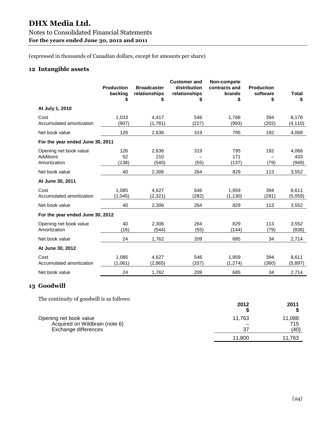# **DHX Media Ltd.** Notes to Consolidated Financial Statements **For the years ended June 30, 2012 and 2011**

(expressed in thousands of Canadian dollars, except for amounts per share)

## **12 Intangible assets**

|                                                     | <b>Production</b><br>backlog<br>\$ | <b>Broadcaster</b><br>relationships | <b>Customer and</b><br>distribution<br>relationships<br>\$ | Non-compete<br>contracts and<br>brands<br>\$ | <b>Production</b><br>software<br>\$ | <b>Total</b><br>\$    |
|-----------------------------------------------------|------------------------------------|-------------------------------------|------------------------------------------------------------|----------------------------------------------|-------------------------------------|-----------------------|
| At July 1, 2010                                     |                                    |                                     |                                                            |                                              |                                     |                       |
| Cost<br>Accumulated amortization                    | 1,033<br>(907)                     | 4,417<br>(1,781)                    | 546<br>(227)                                               | 1,788<br>(993)                               | 394<br>(202)                        | 8,178<br>(4, 110)     |
| Net book value                                      | 126                                | 2,636                               | 319                                                        | 795                                          | 192                                 | 4,068                 |
| For the year ended June 30, 2011                    |                                    |                                     |                                                            |                                              |                                     |                       |
| Opening net book value<br>Additions<br>Amortization | 126<br>52<br>(138)                 | 2,636<br>210<br>(540)               | 319<br>(55)                                                | 795<br>171<br>(137)                          | 192<br>(79)                         | 4,068<br>433<br>(949) |
| Net book value                                      | 40                                 | 2,306                               | 264                                                        | 829                                          | 113                                 | 3,552                 |
| At June 30, 2011                                    |                                    |                                     |                                                            |                                              |                                     |                       |
| Cost<br>Accumulated amortization                    | 1.085<br>(1,045)                   | 4,627<br>(2, 321)                   | 546<br>(282)                                               | 1,959<br>(1, 130)                            | 394<br>(281)                        | 8,611<br>(5,059)      |
| Net book value                                      | 40                                 | 2,306                               | 264                                                        | 829                                          | 113                                 | 3,552                 |
| For the year ended June 30, 2012                    |                                    |                                     |                                                            |                                              |                                     |                       |
| Opening net book value<br>Amortization              | 40<br>(16)                         | 2,306<br>(544)                      | 264<br>(55)                                                | 829<br>(144)                                 | 113<br>(79)                         | 3,552<br>(838)        |
| Net book value                                      | 24                                 | 1,762                               | 209                                                        | 685                                          | 34                                  | 2,714                 |
| At June 30, 2012                                    |                                    |                                     |                                                            |                                              |                                     |                       |
| Cost<br>Accumulated amortization                    | 1,085<br>(1,061)                   | 4,627<br>(2,865)                    | 546<br>(337)                                               | 1,959<br>(1, 274)                            | 394<br>(360)                        | 8,611<br>(5,897)      |
| Net book value                                      | 24                                 | 1,762                               | 209                                                        | 685                                          | 34                                  | 2,714                 |

## **13 Goodwill**

The continuity of goodwill is as follows:

|                                                                                         | 2012         | 2011                  |
|-----------------------------------------------------------------------------------------|--------------|-----------------------|
| Opening net book value<br>Acquired on Wildbrain (note 6)<br><b>Exchange differences</b> | 11.763<br>37 | 11,088<br>715<br>(40) |
|                                                                                         | 11,800       | 11,763                |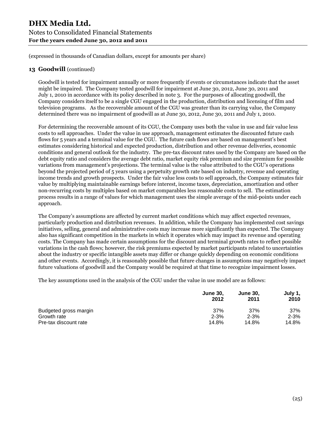# **DHX Media Ltd.** Notes to Consolidated Financial Statements **For the years ended June 30, 2012 and 2011**

(expressed in thousands of Canadian dollars, except for amounts per share)

## **13 Goodwill** (continued)

Goodwill is tested for impairment annually or more frequently if events or circumstances indicate that the asset might be impaired. The Company tested goodwill for impairment at June 30, 2012, June 30, 2011 and July 1, 2010 in accordance with its policy described in note 3. For the purposes of allocating goodwill, the Company considers itself to be a single CGU engaged in the production, distribution and licensing of film and television programs. As the recoverable amount of the CGU was greater than its carrying value, the Company determined there was no impairment of goodwill as at June 30, 2012, June 30, 2011 and July 1, 2010.

For determining the recoverable amount of its CGU, the Company uses both the value in use and fair value less costs to sell approaches. Under the value in use approach, management estimates the discounted future cash flows for 5 years and a terminal value for the CGU. The future cash flows are based on management's best estimates considering historical and expected production, distribution and other revenue deliveries, economic conditions and general outlook for the industry. The pre-tax discount rates used by the Company are based on the debt equity ratio and considers the average debt ratio, market equity risk premium and size premium for possible variations from management's projections. The terminal value is the value attributed to the CGU's operations beyond the projected period of 5 years using a perpetuity growth rate based on industry, revenue and operating income trends and growth prospects. Under the fair value less costs to sell approach, the Company estimates fair value by multiplying maintainable earnings before interest, income taxes, depreciation, amortization and other non-recurring costs by multiples based on market comparables less reasonable costs to sell. The estimation process results in a range of values for which management uses the simple average of the mid-points under each approach.

The Company's assumptions are affected by current market conditions which may affect expected revenues, particularly production and distribution revenues. In addition, while the Company has implemented cost savings initiatives, selling, general and administrative costs may increase more significantly than expected. The Company also has significant competition in the markets in which it operates which may impact its revenue and operating costs. The Company has made certain assumptions for the discount and terminal growth rates to reflect possible variations in the cash flows; however, the risk premiums expected by market participants related to uncertainties about the industry or specific intangible assets may differ or change quickly depending on economic conditions and other events. Accordingly, it is reasonably possible that future changes in assumptions may negatively impact future valuations of goodwill and the Company would be required at that time to recognize impairment losses.

The key assumptions used in the analysis of the CGU under the value in use model are as follows:

|                       | <b>June 30.</b><br>2012 | <b>June 30.</b><br>2011 | July 1,<br>2010 |
|-----------------------|-------------------------|-------------------------|-----------------|
| Budgeted gross margin | 37%                     | 37%                     | 37%             |
| Growth rate           | $2 - 3%$                | $2 - 3%$                | $2 - 3%$        |
| Pre-tax discount rate | 14.8%                   | 14.8%                   | 14.8%           |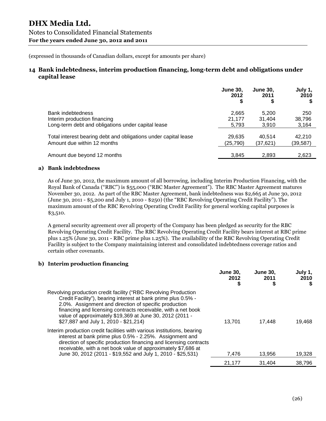## **14 Bank indebtedness, interim production financing, long-term debt and obligations under capital lease**

|                                                                 | <b>June 30.</b><br>2012 | <b>June 30.</b><br>2011 | July 1,<br>2010<br>S |
|-----------------------------------------------------------------|-------------------------|-------------------------|----------------------|
| Bank indebtedness                                               | 2,665                   | 5.200                   | 250                  |
| Interim production financing                                    | 21.177                  | 31.404                  | 38,796               |
| Long-term debt and obligations under capital lease              | 5,793                   | 3,910                   | 3,164                |
| Total interest bearing debt and obligations under capital lease | 29,635                  | 40.514                  | 42.210               |
| Amount due within 12 months                                     | (25,790)                | (37,621)                | (39, 587)            |
| Amount due beyond 12 months                                     | 3,845                   | 2,893                   | 2,623                |

#### **a) Bank indebtedness**

As of June 30, 2012, the maximum amount of all borrowing, including Interim Production Financing, with the Royal Bank of Canada ("RBC") is \$55,000 ("RBC Master Agreement"). The RBC Master Agreement matures November 30, 2012. As part of the RBC Master Agreement, bank indebtedness was \$2,665 at June 30, 2012 (June 30, 2011 - \$5,200 and July 1, 2010 - \$250) (the "RBC Revolving Operating Credit Facility"). The maximum amount of the RBC Revolving Operating Credit Facility for general working capital purposes is \$3,510.

A general security agreement over all property of the Company has been pledged as security for the RBC Revolving Operating Credit Facility. The RBC Revolving Operating Credit Facility bears interest at RBC prime plus 1.25% (June 30, 2011 - RBC prime plus 1.25%). The availability of the RBC Revolving Operating Credit Facility is subject to the Company maintaining interest and consolidated indebtedness coverage ratios and certain other covenants.

#### **b) Interim production financing**

|                                                                                                                                                                                                                                                                                                                                                                 | <b>June 30,</b><br>2012<br>\$ | <b>June 30,</b><br>2011 | July 1,<br>2010<br>\$ |
|-----------------------------------------------------------------------------------------------------------------------------------------------------------------------------------------------------------------------------------------------------------------------------------------------------------------------------------------------------------------|-------------------------------|-------------------------|-----------------------|
| Revolving production credit facility ("RBC Revolving Production<br>Credit Facility"), bearing interest at bank prime plus 0.5% -<br>2.0%. Assignment and direction of specific production<br>financing and licensing contracts receivable, with a net book<br>value of approximately \$19,369 at June 30, 2012 (2011 -<br>\$27,887 and July 1, 2010 - \$21,214) | 13.701                        | 17,448                  | 19.468                |
| Interim production credit facilities with various institutions, bearing<br>interest at bank prime plus 0.5% - 2.25%. Assignment and<br>direction of specific production financing and licensing contracts<br>receivable, with a net book value of approximately \$7,686 at<br>June 30, 2012 (2011 - \$19,552 and July 1, 2010 - \$25,531)                       | 7,476                         | 13.956                  | 19,328                |
|                                                                                                                                                                                                                                                                                                                                                                 | 21,177                        | 31,404                  | 38,796                |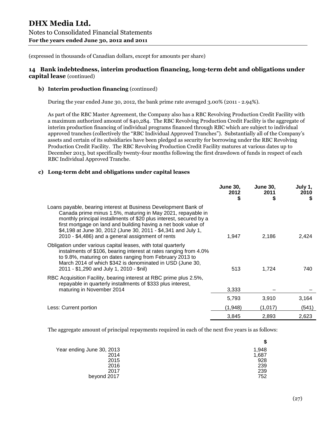## **14 Bank indebtedness, interim production financing, long-term debt and obligations under capital lease** (continued)

#### **b) Interim production financing** (continued)

During the year ended June 30, 2012, the bank prime rate averaged 3.00% (2011 - 2.94%).

As part of the RBC Master Agreement, the Company also has a RBC Revolving Production Credit Facility with a maximum authorized amount of \$40,284. The RBC Revolving Production Credit Facility is the aggregate of interim production financing of individual programs financed through RBC which are subject to individual approved tranches (collectively the "RBC Individual Approved Tranches"). Substantially all of the Company's assets and certain of its subsidiaries have been pledged as security for borrowing under the RBC Revolving Production Credit Facility. The RBC Revolving Production Credit Facility matures at various dates up to December 2013, but specifically twenty-four months following the first drawdown of funds in respect of each RBC Individual Approved Tranche.

#### **c) Long-term debt and obligations under capital leases**

|                                                                                                                                                                                                                                                                                                                                                                                              | <b>June 30,</b><br>2012<br>S | <b>June 30,</b><br>2011<br>S | July 1,<br>2010<br>S |
|----------------------------------------------------------------------------------------------------------------------------------------------------------------------------------------------------------------------------------------------------------------------------------------------------------------------------------------------------------------------------------------------|------------------------------|------------------------------|----------------------|
| Loans payable, bearing interest at Business Development Bank of<br>Canada prime minus 1.5%, maturing in May 2021, repayable in<br>monthly principal installments of \$20 plus interest, secured by a<br>first mortgage on land and building having a net book value of<br>\$4,198 at June 30, 2012 (June 30, 2011 - \$4,341 and July 1,<br>2010 - \$4,486) and a general assignment of rents | 1,947                        | 2,186                        | 2,424                |
| Obligation under various capital leases, with total quarterly<br>instalments of \$106, bearing interest at rates ranging from 4.0%<br>to 9.8%, maturing on dates ranging from February 2013 to<br>March 2014 of which \$342 is denominated in USD (June 30,<br>2011 - \$1,290 and July 1, 2010 - \$nil)                                                                                      | 513                          | 1,724                        | 740                  |
| RBC Acquisition Facility, bearing interest at RBC prime plus 2.5%,<br>repayable in quarterly installments of \$333 plus interest,<br>maturing in November 2014                                                                                                                                                                                                                               | 3,333                        |                              |                      |
|                                                                                                                                                                                                                                                                                                                                                                                              | 5,793                        | 3,910                        | 3,164                |
| Less: Current portion                                                                                                                                                                                                                                                                                                                                                                        | (1,948)                      | (1,017)                      | (541)                |
|                                                                                                                                                                                                                                                                                                                                                                                              | 3,845                        | 2,893                        | 2,623                |

The aggregate amount of principal repayments required in each of the next five years is as follows:

| Year ending June 30, 2013 | 1,948 |
|---------------------------|-------|
| 2014                      | 1,687 |
| 2015                      | 928   |
| 2016                      | 239   |
| 2017                      | 239   |
| beyond 2017               | 752   |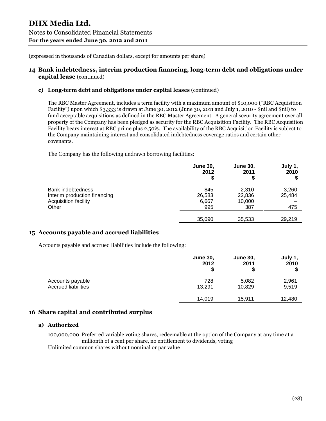## **14 Bank indebtedness, interim production financing, long-term debt and obligations under capital lease** (continued)

#### **c) Long-term debt and obligations under capital leases** (continued)

The RBC Master Agreement, includes a term facility with a maximum amount of \$10,000 ("RBC Acquisition Facility") upon which \$3,333 is drawn at June 30, 2012 (June 30, 2011 and July 1, 2010 - \$nil and \$nil) to fund acceptable acquisitions as defined in the RBC Master Agreement. A general security agreement over all property of the Company has been pledged as security for the RBC Acquisition Facility. The RBC Acquisition Facility bears interest at RBC prime plus 2.50%. The availability of the RBC Acquisition Facility is subject to the Company maintaining interest and consolidated indebtedness coverage ratios and certain other covenants.

The Company has the following undrawn borrowing facilities:

|                              | <b>June 30,</b><br>2012<br>\$ | <b>June 30,</b><br>2011 | July 1,<br>2010<br>\$ |
|------------------------------|-------------------------------|-------------------------|-----------------------|
| Bank indebtedness            | 845                           | 2,310                   | 3,260                 |
| Interim production financing | 26,583                        | 22,836                  | 25,484                |
| Acquisition facility         | 6,667                         | 10,000                  |                       |
| Other                        | 995                           | 387                     | 475                   |
|                              | 35,090                        | 35,533                  | 29,219                |

## **15 Accounts payable and accrued liabilities**

Accounts payable and accrued liabilities include the following:

|                            | <b>June 30,</b><br>2012<br>\$ | <b>June 30,</b><br>2011<br>\$ | July 1,<br>2010<br>\$ |
|----------------------------|-------------------------------|-------------------------------|-----------------------|
| Accounts payable           | 728                           | 5,082                         | 2,961                 |
| <b>Accrued liabilities</b> | 13.291                        | 10,829                        | 9,519                 |
|                            | 14,019                        | 15,911                        | 12,480                |

## **16 Share capital and contributed surplus**

#### **a) Authorized**

100,000,000 Preferred variable voting shares, redeemable at the option of the Company at any time at a millionth of a cent per share, no entitlement to dividends, voting Unlimited common shares without nominal or par value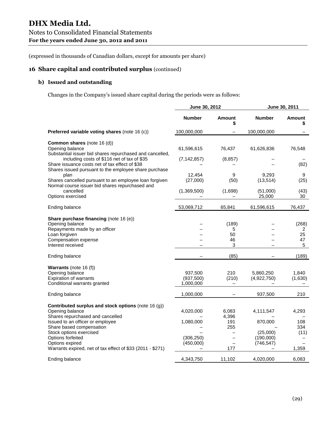## **16 Share capital and contributed surplus** (continued)

## **b) Issued and outstanding**

Changes in the Company's issued share capital during the periods were as follows:

|                                                                                                                                                                                                       | June 30, 2012                      |                              |                                  | June 30, 2011               |
|-------------------------------------------------------------------------------------------------------------------------------------------------------------------------------------------------------|------------------------------------|------------------------------|----------------------------------|-----------------------------|
|                                                                                                                                                                                                       | <b>Number</b>                      | <b>Amount</b><br>\$          | <b>Number</b>                    | <b>Amount</b><br>\$         |
| <b>Preferred variable voting shares (note 16 (c))</b>                                                                                                                                                 | 100,000,000                        |                              | 100,000,000                      |                             |
| <b>Common shares</b> (note 16 (d))<br>Opening balance<br>Substantial issuer bid shares repurchased and cancelled,                                                                                     | 61,596,615                         | 76,437                       | 61,626,836                       | 76,548                      |
| including costs of \$116 net of tax of \$35<br>Share issuance costs net of tax effect of \$38<br>Shares issued pursuant to the employee share purchase                                                | (7, 142, 857)                      | (8, 857)                     |                                  | (82)                        |
| plan<br>Shares cancelled pursuant to an employee loan forgiven<br>Normal course issuer bid shares repurchased and                                                                                     | 12,454<br>(27,000)                 | 9<br>(50)                    | 9,293<br>(13, 514)               | 9<br>(25)                   |
| cancelled<br>Options exercised                                                                                                                                                                        | (1,369,500)                        | (1,698)                      | (51,000)<br>25,000               | (43)<br>30                  |
| Ending balance                                                                                                                                                                                        | 53,069,712                         | 65,841                       | 61,596,615                       | 76,437                      |
| Share purchase financing (note 16 (e))<br>Opening balance<br>Repayments made by an officer<br>Loan forgiven<br>Compensation expense<br>Interest received                                              |                                    | (189)<br>5<br>50<br>46<br>3  |                                  | (268)<br>2<br>25<br>47<br>5 |
| Ending balance                                                                                                                                                                                        |                                    | (85)                         |                                  | (189)                       |
| Warrants (note 16 (f))<br>Opening balance<br><b>Expiration of warrants</b><br>Conditional warrants granted                                                                                            | 937,500<br>(937, 500)<br>1,000,000 | 210<br>(210)                 | 5,860,250<br>(4,922,750)         | 1,840<br>(1,630)            |
| Ending balance                                                                                                                                                                                        | 1,000,000                          |                              | 937,500                          | 210                         |
| Contributed surplus and stock options (note 16 (g))<br>Opening balance<br>Shares repurchased and cancelled<br>Issued to an officer or employee<br>Share based compensation<br>Stock options exercised | 4,020,000<br>1,080,000             | 6,083<br>4,396<br>191<br>255 | 4,111,547<br>870,000<br>(25,000) | 4,293<br>108<br>334<br>(11) |
| Options forfeited<br>Options expired<br>Warrants expired, net of tax effect of \$33 (2011 - \$271)                                                                                                    | (306, 250)<br>(450,000)            | 177                          | (190,000)<br>(746, 547)          | 1,359                       |
| Ending balance                                                                                                                                                                                        | 4,343,750                          | 11,102                       | 4,020,000                        | 6,083                       |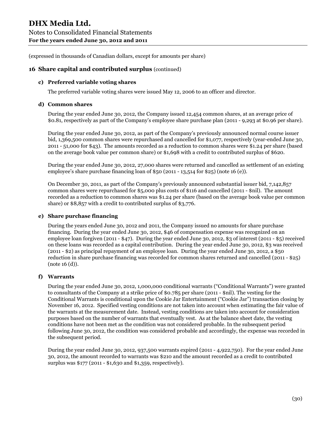## **16 Share capital and contributed surplus** (continued)

#### **c) Preferred variable voting shares**

The preferred variable voting shares were issued May 12, 2006 to an officer and director.

#### **d) Common shares**

During the year ended June 30, 2012, the Company issued 12,454 common shares, at an average price of \$0.81, respectively as part of the Company's employee share purchase plan (2011 - 9,293 at \$0.96 per share).

During the year ended June 30, 2012, as part of the Company's previously announced normal course issuer bid, 1,369,500 common shares were repurchased and cancelled for \$1,077, respectively (year-ended June 30, 2011 - 51,000 for \$43). The amounts recorded as a reduction to common shares were \$1.24 per share (based on the average book value per common share) or \$1,698 with a credit to contributed surplus of \$620.

During the year ended June 30, 2012, 27,000 shares were returned and cancelled as settlement of an existing employee's share purchase financing loan of \$50 (2011 - 13,514 for \$25) (note 16 (e)).

On December 30, 2011, as part of the Company's previously announced substantial issuer bid, 7,142,857 common shares were repurchased for \$5,000 plus costs of \$116 and cancelled (2011 - \$nil). The amount recorded as a reduction to common shares was \$1.24 per share (based on the average book value per common share) or \$8,857 with a credit to contributed surplus of \$3,776.

#### **e) Share purchase financing**

During the years ended June 30, 2012 and 2011, the Company issued no amounts for share purchase financing. During the year ended June 30, 2012, \$46 of compensation expense was recognized on an employee loan forgiven (2011 - \$47). During the year ended June 30, 2012, \$3 of interest (2011 - \$5) received on these loans was recorded as a capital contribution. During the year ended June 30, 2012, \$3 was received (2011 - \$2) as principal repayment of an employee loan. During the year ended June 30, 2012, a \$50 reduction in share purchase financing was recorded for common shares returned and cancelled (2011 - \$25) (note 16 (d)).

#### **f) Warrants**

During the year ended June 30, 2012, 1,000,000 conditional warrants ("Conditional Warrants") were granted to consultants of the Company at a strike price of \$0.785 per share (2011 - \$nil). The vesting for the Conditional Warrants is conditional upon the Cookie Jar Entertainment ("Cookie Jar") transaction closing by November 16, 2012. Specified vesting conditions are not taken into account when estimating the fair value of the warrants at the measurement date. Instead, vesting conditions are taken into account for consideration purposes based on the number of warrants that eventually vest. As at the balance sheet date, the vesting conditions have not been met as the condition was not considered probable. In the subsequent period following June 30, 2012, the condition was considered probable and accordingly, the expense was recorded in the subsequent period.

During the year ended June 30, 2012, 937,500 warrants expired (2011 - 4,922,750). For the year ended June 30, 2012, the amount recorded to warrants was \$210 and the amount recorded as a credit to contributed surplus was \$177 (2011 - \$1,630 and \$1,359, respectively).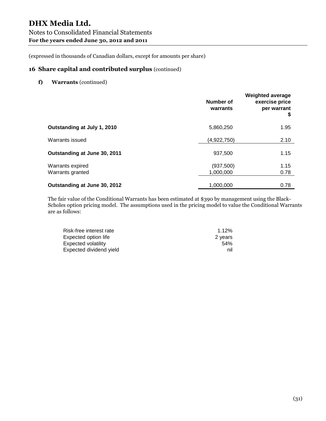## **16 Share capital and contributed surplus** (continued)

**f) Warrants** (continued)

|                                      | Number of<br>warrants   | <b>Weighted average</b><br>exercise price<br>per warrant<br>\$ |
|--------------------------------------|-------------------------|----------------------------------------------------------------|
| Outstanding at July 1, 2010          | 5,860,250               | 1.95                                                           |
| Warrants issued                      | (4,922,750)             | 2.10                                                           |
| Outstanding at June 30, 2011         | 937,500                 | 1.15                                                           |
| Warrants expired<br>Warrants granted | (937, 500)<br>1,000,000 | 1.15<br>0.78                                                   |
| Outstanding at June 30, 2012         | 1,000,000               | 0.78                                                           |

The fair value of the Conditional Warrants has been estimated at \$390 by management using the Black-Scholes option pricing model. The assumptions used in the pricing model to value the Conditional Warrants are as follows:

| Risk-free interest rate | 1.12%   |
|-------------------------|---------|
| Expected option life    | 2 years |
| Expected volatility     | 54%     |
| Expected dividend yield | nil     |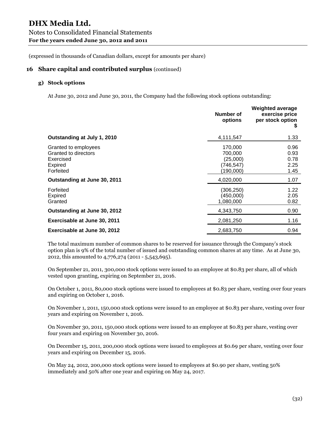#### **16 Share capital and contributed surplus** (continued)

#### **g) Stock options**

At June 30, 2012 and June 30, 2011, the Company had the following stock options outstanding:

|                                                                                          | Number of<br>options                                      | <b>Weighted average</b><br>exercise price<br>per stock option<br>S. |
|------------------------------------------------------------------------------------------|-----------------------------------------------------------|---------------------------------------------------------------------|
| Outstanding at July 1, 2010                                                              | 4,111,547                                                 | 1.33                                                                |
| Granted to employees<br>Granted to directors<br>Exercised<br><b>Expired</b><br>Forfeited | 170,000<br>700,000<br>(25,000)<br>(746, 547)<br>(190,000) | 0.96<br>0.93<br>0.78<br>2.25<br>1.45                                |
| Outstanding at June 30, 2011                                                             | 4,020,000                                                 | 1.07                                                                |
| Forfeited<br><b>Expired</b><br>Granted                                                   | (306,250)<br>(450,000)<br>1,080,000                       | 1.22<br>2.05<br>0.82                                                |
| Outstanding at June 30, 2012                                                             | 4,343,750                                                 | 0.90                                                                |
| Exercisable at June 30, 2011                                                             | 2,081,250                                                 | 1.16                                                                |
| Exercisable at June 30, 2012                                                             | 2,683,750                                                 | 0.94                                                                |

The total maximum number of common shares to be reserved for issuance through the Company's stock option plan is 9% of the total number of issued and outstanding common shares at any time. As at June 30, 2012, this amounted to 4,776,274 (2011 - 5,543,695).

On September 21, 2011, 300,000 stock options were issued to an employee at \$0.83 per share, all of which vested upon granting, expiring on September 21, 2016.

On October 1, 2011, 80,000 stock options were issued to employees at \$0.83 per share, vesting over four years and expiring on October 1, 2016.

On November 1, 2011, 150,000 stock options were issued to an employee at \$0.83 per share, vesting over four years and expiring on November 1, 2016.

On November 30, 2011, 150,000 stock options were issued to an employee at \$0.83 per share, vesting over four years and expiring on November 30, 2016.

On December 15, 2011, 200,000 stock options were issued to employees at \$0.69 per share, vesting over four years and expiring on December 15, 2016.

On May 24, 2012, 200,000 stock options were issued to employees at \$0.90 per share, vesting 50% immediately and 50% after one year and expiring on May 24, 2017.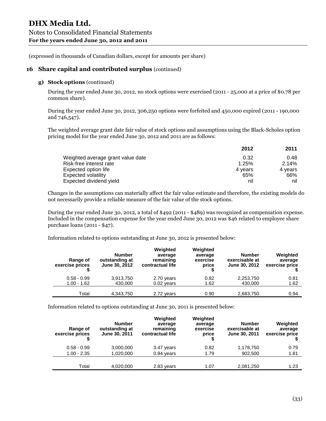## **16 Share capital and contributed surplus** (continued)

## **g) Stock options** (continued)

During the year ended June 30, 2012, no stock options were exercised (2011 - 25,000 at a price of \$0.78 per common share).

During the year ended June 30, 2012, 306,250 options were forfeited and 450,000 expired (2011 - 190,000 and 746,547).

The weighted average grant date fair value of stock options and assumptions using the Black-Scholes option pricing model for the year ended June 30, 2012 and 2011 are as follows:

|                                   | 2012    | 2011    |
|-----------------------------------|---------|---------|
| Weighted average grant value date | 0.32    | 0.48    |
| Risk-free interest rate           | 1.25%   | 2.14%   |
| Expected option life              | 4 years | 4 years |
| <b>Expected volatility</b>        | 65%     | 66%     |
| Expected dividend yield           | nil     | nil     |

Changes in the assumptions can materially affect the fair value estimate and therefore, the existing models do not necessarily provide a reliable measure of the fair value of the stock options.

During the year ended June 30, 2012, a total of \$492 (2011 - \$489) was recognized as compensation expense. Included in the compensation expense for the year ended June 30, 2012 was \$46 related to employee share purchase loans (2011 - \$47).

Information related to options outstanding at June 30, 2012 is presented below:

| Range of<br>exercise prices    | <b>Number</b><br>outstanding at<br>June 30, 2012 | Weighted<br>average<br>remaining<br>contractual life | Weighted<br>average<br>exercise<br>price | <b>Number</b><br>exercisable at<br>June 30, 2012 | Weighted<br>average<br>exercise price |
|--------------------------------|--------------------------------------------------|------------------------------------------------------|------------------------------------------|--------------------------------------------------|---------------------------------------|
| $0.58 - 0.99$<br>$1.00 - 1.62$ | 3,913,750<br>430,000                             | 2.70 years<br>$0.02$ years                           | 0.82<br>1.62                             | 2,253,750<br>430,000                             | 0.81<br>1.62                          |
| Total                          | 4,343,750                                        | 2.72 years                                           | 0.90                                     | 2,683,750                                        | 0.94                                  |

Information related to options outstanding at June 30, 2011 is presented below:

| Range of<br>exercise prices | <b>Number</b><br>outstanding at<br>June 30, 2011 | Weighted<br>average<br>remaining<br>contractual life | Weighted<br>average<br>exercise<br>price | <b>Number</b><br>exercisable at<br>June 30, 2011 | Weighted<br>average<br>exercise price |
|-----------------------------|--------------------------------------------------|------------------------------------------------------|------------------------------------------|--------------------------------------------------|---------------------------------------|
| $0.58 - 0.99$               | 3,000,000                                        | 3.47 years                                           | 0.82                                     | 1,178,750                                        | 0.79                                  |
| $1.00 - 2.35$               | 1,020,000                                        | 0.94 years                                           | 1.79                                     | 902,500                                          | 1.81                                  |
|                             |                                                  |                                                      |                                          |                                                  |                                       |
| Total                       | 4,020,000                                        | 2.83 years                                           | 1.07                                     | 2,081,250                                        | 1.23                                  |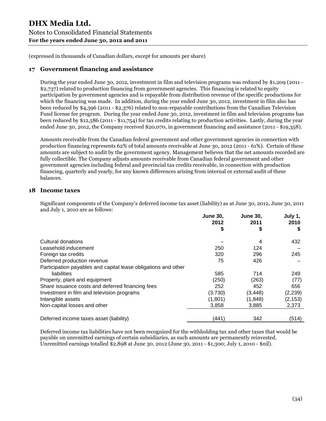## **17 Government financing and assistance**

During the year ended June 30, 2012, investment in film and television programs was reduced by \$1,209 (2011 - \$2,737) related to production financing from government agencies. This financing is related to equity participation by government agencies and is repayable from distribution revenue of the specific productions for which the financing was made. In addition, during the year ended June 30, 2012, investment in film also has been reduced by \$4,396 (2011 - \$2,376) related to non-repayable contributions from the Canadian Television Fund license fee program. During the year ended June 30, 2012, investment in film and television programs has been reduced by \$12,586 (2011 - \$11,754) for tax credits relating to production activities. Lastly, during the year ended June 30, 2012, the Company received \$20,070, in government financing and assistance (2011 - \$19,358).

Amounts receivable from the Canadian federal government and other government agencies in connection with production financing represents 62% of total amounts receivable at June 30, 2012 (2011 - 61%). Certain of these amounts are subject to audit by the government agency. Management believes that the net amounts recorded are fully collectible. The Company adjusts amounts receivable from Canadian federal government and other government agencies including federal and provincial tax credits receivable, in connection with production financing, quarterly and yearly, for any known differences arising from internal or external audit of these balances.

## **18 Income taxes**

Significant components of the Company's deferred income tax asset (liability) as at June 30, 2012, June 30, 2011 and July 1, 2010 are as follows:

|                                                                | <b>June 30.</b> | <b>June 30,</b><br>2011 | July 1,<br>2010 |
|----------------------------------------------------------------|-----------------|-------------------------|-----------------|
|                                                                | 2012<br>\$      | S                       |                 |
| Cultural donations                                             |                 | 4                       | 432             |
| Leasehold inducement                                           | 250             | 124                     |                 |
| Foreign tax credits                                            | 320             | 296                     | 245             |
| Deferred production revenue                                    | 75              | 426                     |                 |
| Participation payables and capital lease obligations and other |                 |                         |                 |
| liabilities                                                    | 585             | 714                     | 249             |
| Property, plant and equipment                                  | (250)           | (263)                   | (77)            |
| Share issuance costs and deferred financing fees               | 252             | 452                     | 656             |
| Investment in film and television programs                     | (3,730)         | (3, 448)                | (2,239)         |
| Intangible assets                                              | (1,801)         | (1,848)                 | (2, 153)        |
| Non-capital losses and other                                   | 3,858           | 3,885                   | 2,373           |
| Deferred income taxes asset (liability)                        | (441)           | 342                     | (514)           |

Deferred income tax liabilities have not been recognized for the withholding tax and other taxes that would be payable on unremitted earnings of certain subsidiaries, as such amounts are permanently reinvested. Unremitted earnings totalled \$2,898 at June 30, 2012 (June 30, 2011 - \$1,300; July 1, 2010 - \$nil).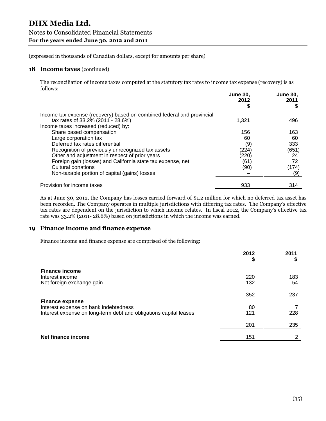#### **18 Income taxes** (continued)

The reconciliation of income taxes computed at the statutory tax rates to income tax expense (recovery) is as follows:

|                                                                        | <b>June 30.</b><br>2012 | <b>June 30,</b><br>2011 |  |
|------------------------------------------------------------------------|-------------------------|-------------------------|--|
|                                                                        |                         |                         |  |
| Income tax expense (recovery) based on combined federal and provincial |                         |                         |  |
| tax rates of 33.2% (2011 - 28.6%)                                      | 1,321                   | 496                     |  |
| Income taxes increased (reduced) by:                                   |                         |                         |  |
| Share based compensation                                               | 156                     | 163                     |  |
| Large corporation tax                                                  | 60                      | 60                      |  |
| Deferred tax rates differential                                        | (9)                     | 333                     |  |
| Recognition of previously unrecognized tax assets                      | (224)                   | (651)                   |  |
| Other and adjustment in respect of prior years                         | (220)                   | 24                      |  |
| Foreign gain (losses) and California state tax expense, net            | (61)                    | 72                      |  |
| Cultural donations                                                     | (90)                    | (174)                   |  |
| Non-taxable portion of capital (gains) losses                          |                         | (9)                     |  |
| Provision for income taxes                                             | 933                     | 314                     |  |

As at June 30, 2012, the Company has losses carried forward of \$1.2 million for which no deferred tax asset has been recorded. The Company operates in multiple jurisdictions with differing tax rates. The Company's effective tax rates are dependent on the jurisdiction to which income relates. In fiscal 2012, the Company's effective tax rate was 33.2% (2011-28.6%) based on jurisdictions in which the income was earned.

## **19 Finance income and finance expense**

Finance income and finance expense are comprised of the following:

|                                                                                                                                      | 2012<br>\$ | 2011      |
|--------------------------------------------------------------------------------------------------------------------------------------|------------|-----------|
| <b>Finance income</b><br>Interest income<br>Net foreign exchange gain                                                                | 220<br>132 | 183<br>54 |
|                                                                                                                                      | 352        | 237       |
| <b>Finance expense</b><br>Interest expense on bank indebtedness<br>Interest expense on long-term debt and obligations capital leases | 80<br>121  | 228       |
|                                                                                                                                      | 201        | 235       |
| Net finance income                                                                                                                   | 151        | 2         |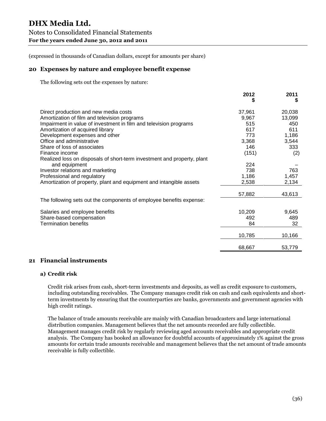## **20 Expenses by nature and employee benefit expense**

The following sets out the expenses by nature:

|                                                                         | 2012<br>5 | 2011   |
|-------------------------------------------------------------------------|-----------|--------|
| Direct production and new media costs                                   | 37,961    | 20,038 |
| Amortization of film and television programs                            | 9,967     | 13,099 |
| Impairment in value of investment in film and television programs       | 515       | 450    |
| Amortization of acquired library                                        | 617       | 611    |
| Development expenses and other                                          | 773       | 1,186  |
| Office and administrative                                               | 3,368     | 3,544  |
| Share of loss of associates                                             | 146       | 333    |
| Finance income                                                          | (151)     | (2)    |
| Realized loss on disposals of short-term investment and property, plant |           |        |
| and equipment                                                           | 224       |        |
| Investor relations and marketing                                        | 738       | 763    |
| Professional and regulatory                                             | 1,186     | 1,457  |
| Amortization of property, plant and equipment and intangible assets     | 2,538     | 2,134  |
|                                                                         | 57,882    | 43,613 |
| The following sets out the components of employee benefits expense:     |           |        |
| Salaries and employee benefits                                          | 10,209    | 9,645  |
| Share-based compensation                                                | 492       | 489    |
| <b>Termination benefits</b>                                             | 84        | 32     |
|                                                                         | 10,785    | 10,166 |
|                                                                         | 68,667    | 53,779 |

#### **21 Financial instruments**

#### **a) Credit risk**

Credit risk arises from cash, short-term investments and deposits, as well as credit exposure to customers, including outstanding receivables. The Company manages credit risk on cash and cash equivalents and shortterm investments by ensuring that the counterparties are banks, governments and government agencies with high credit ratings.

The balance of trade amounts receivable are mainly with Canadian broadcasters and large international distribution companies. Management believes that the net amounts recorded are fully collectible. Management manages credit risk by regularly reviewing aged accounts receivables and appropriate credit analysis. The Company has booked an allowance for doubtful accounts of approximately 1% against the gross amounts for certain trade amounts receivable and management believes that the net amount of trade amounts receivable is fully collectible.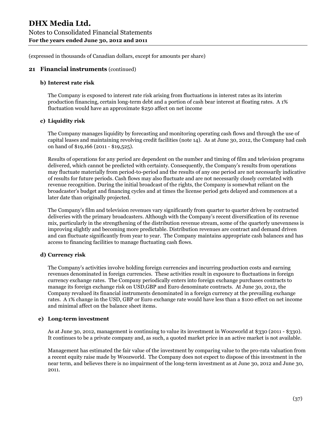#### **21 Financial instruments** (continued)

#### **b) Interest rate risk**

The Company is exposed to interest rate risk arising from fluctuations in interest rates as its interim production financing, certain long-term debt and a portion of cash bear interest at floating rates. A 1% fluctuation would have an approximate \$250 affect on net income

#### **c) Liquidity risk**

The Company manages liquidity by forecasting and monitoring operating cash flows and through the use of capital leases and maintaining revolving credit facilities (note 14). As at June 30, 2012, the Company had cash on hand of \$19,166 (2011 - \$19,525).

Results of operations for any period are dependent on the number and timing of film and television programs delivered, which cannot be predicted with certainty. Consequently, the Company's results from operations may fluctuate materially from period-to-period and the results of any one period are not necessarily indicative of results for future periods. Cash flows may also fluctuate and are not necessarily closely correlated with revenue recognition. During the initial broadcast of the rights, the Company is somewhat reliant on the broadcaster's budget and financing cycles and at times the license period gets delayed and commences at a later date than originally projected.

The Company's film and television revenues vary significantly from quarter to quarter driven by contracted deliveries with the primary broadcasters. Although with the Company's recent diversification of its revenue mix, particularly in the strengthening of the distribution revenue stream, some of the quarterly unevenness is improving slightly and becoming more predictable. Distribution revenues are contract and demand driven and can fluctuate significantly from year to year. The Company maintains appropriate cash balances and has access to financing facilities to manage fluctuating cash flows.

#### **d) Currency risk**

The Company's activities involve holding foreign currencies and incurring production costs and earning revenues denominated in foreign currencies. These activities result in exposure to fluctuations in foreign currency exchange rates. The Company periodically enters into foreign exchange purchases contracts to manage its foreign exchange risk on USD,GBP and Euro denominate contracts. At June 30, 2012, the Company revalued its financial instruments denominated in a foreign currency at the prevailing exchange rates. A 1% change in the USD, GBP or Euro exchange rate would have less than a \$100 effect on net income and minimal affect on the balance sheet items.

#### **e) Long-term investment**

As at June 30, 2012, management is continuing to value its investment in Woozworld at \$330 (2011 - \$330). It continues to be a private company and, as such, a quoted market price in an active market is not available.

Management has estimated the fair value of the investment by comparing value to the pro-rata valuation from a recent equity raise made by Woozworld. The Company does not expect to dispose of this investment in the near term, and believes there is no impairment of the long-term investment as at June 30, 2012 and June 30, 2011.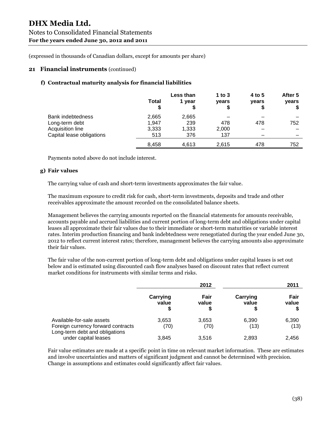#### **21 Financial instruments** (continued)

#### **f) Contractual maturity analysis for financial liabilities**

|                           | Total | Less than<br>1 year | 1 to $3$<br>years | 4 to 5<br>years | After 5<br>years |
|---------------------------|-------|---------------------|-------------------|-----------------|------------------|
| <b>Bank indebtedness</b>  | 2,665 | 2,665               |                   |                 |                  |
| Long-term debt            | 1,947 | 239                 | 478               | 478             | 752              |
| Acquisition line          | 3,333 | 1,333               | 2,000             |                 |                  |
| Capital lease obligations | 513   | 376                 | 137               |                 |                  |
|                           | 8,458 | 4,613               | 2,615             | 478             | 752              |

Payments noted above do not include interest.

#### **g) Fair values**

The carrying value of cash and short-term investments approximates the fair value.

The maximum exposure to credit risk for cash, short-term investments, deposits and trade and other receivables approximate the amount recorded on the consolidated balance sheets.

Management believes the carrying amounts reported on the financial statements for amounts receivable, accounts payable and accrued liabilities and current portion of long-term debt and obligations under capital leases all approximate their fair values due to their immediate or short-term maturities or variable interest rates. Interim production financing and bank indebtedness were renegotiated during the year ended June 30, 2012 to reflect current interest rates; therefore, management believes the carrying amounts also approximate their fair values.

The fair value of the non-current portion of long-term debt and obligations under capital leases is set out below and is estimated using discounted cash flow analyses based on discount rates that reflect current market conditions for instruments with similar terms and risks.

|                                                                                                   |                         | 2012          |                        | 2011          |
|---------------------------------------------------------------------------------------------------|-------------------------|---------------|------------------------|---------------|
|                                                                                                   | Carrying<br>value<br>\$ | Fair<br>value | Carrying<br>value<br>S | Fair<br>value |
| Available-for-sale assets<br>Foreign currency forward contracts<br>Long-term debt and obligations | 3,653<br>(70)           | 3,653<br>(70) | 6,390<br>(13)          | 6,390<br>(13) |
| under capital leases                                                                              | 3,845                   | 3,516         | 2,893                  | 2.456         |

Fair value estimates are made at a specific point in time on relevant market information. These are estimates and involve uncertainties and matters of significant judgment and cannot be determined with precision. Change in assumptions and estimates could significantly affect fair values.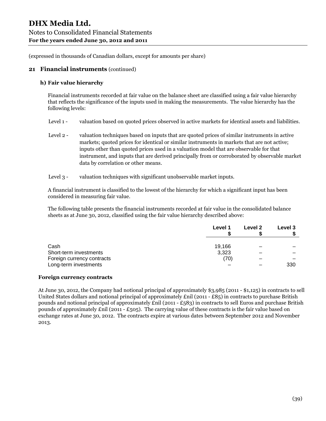#### **21 Financial instruments** (continued)

#### **h) Fair value hierarchy**

Financial instruments recorded at fair value on the balance sheet are classified using a fair value hierarchy that reflects the significance of the inputs used in making the measurements. The value hierarchy has the following levels:

- Level 1 valuation based on quoted prices observed in active markets for identical assets and liabilities.
- Level 2 valuation techniques based on inputs that are quoted prices of similar instruments in active markets; quoted prices for identical or similar instruments in markets that are not active; inputs other than quoted prices used in a valuation model that are observable for that instrument, and inputs that are derived principally from or corroborated by observable market data by correlation or other means.
- Level 3 valuation techniques with significant unobservable market inputs.

A financial instrument is classified to the lowest of the hierarchy for which a significant input has been considered in measuring fair value.

The following table presents the financial instruments recorded at fair value in the consolidated balance sheets as at June 30, 2012, classified using the fair value hierarchy described above:

|                            | Level 1 | Level 2 | Level 3 |
|----------------------------|---------|---------|---------|
|                            |         |         |         |
| Cash                       | 19,166  | –       |         |
| Short-term investments     | 3,323   |         |         |
| Foreign currency contracts | (70)    |         |         |
| Long-term investments      |         |         | 330     |

#### **Foreign currency contracts**

At June 30, 2012, the Company had notional principal of approximately \$3,985 (2011 - \$1,125) in contracts to sell United States dollars and notional principal of approximately  $\text{Enil} (2011 - \text{£85})$  in contracts to purchase British pounds and notional principal of approximately  $\text{Enil}$  (2011 - £583) in contracts to sell Euros and purchase British pounds of approximately  $\text{Enil}$  (2011 - £505). The carrying value of these contracts is the fair value based on exchange rates at June 30, 2012. The contracts expire at various dates between September 2012 and November 2013.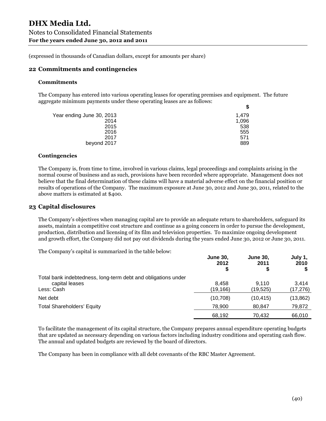#### **22 Commitments and contingencies**

#### **Commitments**

The Company has entered into various operating leases for operating premises and equipment. The future aggregate minimum payments under these operating leases are as follows: **\$**

| Year ending June 30, 2013 | 1.479 |
|---------------------------|-------|
| 2014                      | 1,096 |
| 2015                      | 538   |
| 2016                      | 555   |
| 2017                      | 571   |
| beyond 2017               | 889   |
|                           |       |

#### **Contingencies**

The Company is, from time to time, involved in various claims, legal proceedings and complaints arising in the normal course of business and as such, provisions have been recorded where appropriate. Management does not believe that the final determination of these claims will have a material adverse effect on the financial position or results of operations of the Company. The maximum exposure at June 30, 2012 and June 30, 2011, related to the above matters is estimated at \$400.

#### **23 Capital disclosures**

The Company's objectives when managing capital are to provide an adequate return to shareholders, safeguard its assets, maintain a competitive cost structure and continue as a going concern in order to pursue the development, production, distribution and licensing of its film and television properties. To maximize ongoing development and growth effort, the Company did not pay out dividends during the years ended June 30, 2012 or June 30, 2011.

The Company's capital is summarized in the table below:

|                                                               | <b>June 30,</b><br>2012<br>S | <b>June 30,</b><br>2011 | July 1,<br>2010<br>\$ |
|---------------------------------------------------------------|------------------------------|-------------------------|-----------------------|
| Total bank indebtedness, long-term debt and obligations under |                              |                         |                       |
| capital leases                                                | 8.458                        | 9.110                   | 3.414                 |
| Less: Cash                                                    | (19,166)                     | (19, 525)               | (17,276)              |
| Net debt                                                      | (10, 708)                    | (10, 415)               | (13, 862)             |
| <b>Total Shareholders' Equity</b>                             | 78.900                       | 80,847                  | 79,872                |
|                                                               | 68,192                       | 70.432                  | 66.010                |

To facilitate the management of its capital structure, the Company prepares annual expenditure operating budgets that are updated as necessary depending on various factors including industry conditions and operating cash flow. The annual and updated budgets are reviewed by the board of directors.

The Company has been in compliance with all debt covenants of the RBC Master Agreement.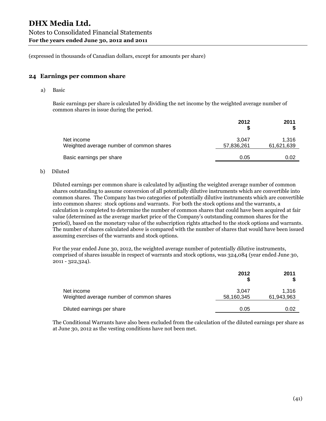#### **24 Earnings per common share**

a) Basic

Basic earnings per share is calculated by dividing the net income by the weighted average number of common shares in issue during the period.

|                                                        | 2012                | 2011                |
|--------------------------------------------------------|---------------------|---------------------|
| Net income<br>Weighted average number of common shares | 3.047<br>57,836,261 | 1,316<br>61,621,639 |
| Basic earnings per share                               | 0.05                | 0.02                |
|                                                        |                     |                     |

#### b) Diluted

Diluted earnings per common share is calculated by adjusting the weighted average number of common shares outstanding to assume conversion of all potentially dilutive instruments which are convertible into common shares. The Company has two categories of potentially dilutive instruments which are convertible into common shares: stock options and warrants. For both the stock options and the warrants, a calculation is completed to determine the number of common shares that could have been acquired at fair value (determined as the average market price of the Company's outstanding common shares for the period), based on the monetary value of the subscription rights attached to the stock options and warrants. The number of shares calculated above is compared with the number of shares that would have been issued assuming exercises of the warrants and stock options.

For the year ended June 30, 2012, the weighted average number of potentially dilutive instruments, comprised of shares issuable in respect of warrants and stock options, was 324,084 (year ended June 30, 2011 - 322,324).

|                                                        | 2012                | 2011                |
|--------------------------------------------------------|---------------------|---------------------|
| Net income<br>Weighted average number of common shares | 3.047<br>58,160,345 | 1.316<br>61,943,963 |
| Diluted earnings per share                             | 0.05                | 0.02                |

The Conditional Warrants have also been excluded from the calculation of the diluted earnings per share as at June 30, 2012 as the vesting conditions have not been met.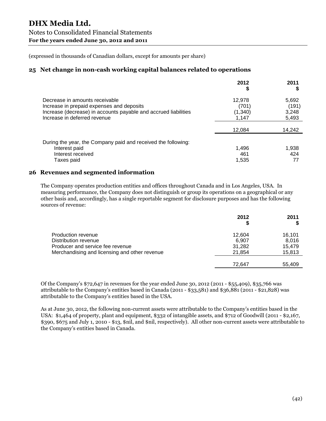## **25 Net change in non-cash working capital balances related to operations**

|                                                                                                                                                                                | 2012                                | 2011                             |
|--------------------------------------------------------------------------------------------------------------------------------------------------------------------------------|-------------------------------------|----------------------------------|
| Decrease in amounts receivable<br>Increase in prepaid expenses and deposits<br>Increase (decrease) in accounts payable and accrued liabilities<br>Increase in deferred revenue | 12,978<br>(701)<br>(1,340)<br>1.147 | 5,692<br>(191)<br>3,248<br>5,493 |
|                                                                                                                                                                                | 12.084                              | 14,242                           |
| During the year, the Company paid and received the following:<br>Interest paid<br>Interest received<br>Taxes paid                                                              | 1,496<br>461<br>1,535               | 1,938<br>424                     |

## **26 Revenues and segmented information**

The Company operates production entities and offices throughout Canada and in Los Angeles, USA. In measuring performance, the Company does not distinguish or group its operations on a geographical or any other basis and, accordingly, has a single reportable segment for disclosure purposes and has the following sources of revenue:

|                                               | 2012<br>5 | 2011   |
|-----------------------------------------------|-----------|--------|
| Production revenue                            | 12.604    | 16,101 |
| Distribution revenue                          | 6,907     | 8,016  |
| Producer and service fee revenue              | 31,282    | 15.479 |
| Merchandising and licensing and other revenue | 21,854    | 15,813 |
|                                               | 72.647    |        |
|                                               |           | 55.409 |

Of the Company's \$72,647 in revenues for the year ended June 30, 2012 (2011 - \$55,409), \$35,766 was attributable to the Company's entities based in Canada (2011 - \$33,581) and \$36,881 (2011 - \$21,828) was attributable to the Company's entities based in the USA.

As at June 30, 2012, the following non-current assets were attributable to the Company's entities based in the USA: \$1,464 of property, plant and equipment, \$332 of intangible assets, and \$712 of Goodwill (2011 - \$2,167, \$390, \$675 and July 1, 2010 - \$13, \$nil, and \$nil, respectively). All other non-current assets were attributable to the Company's entities based in Canada.